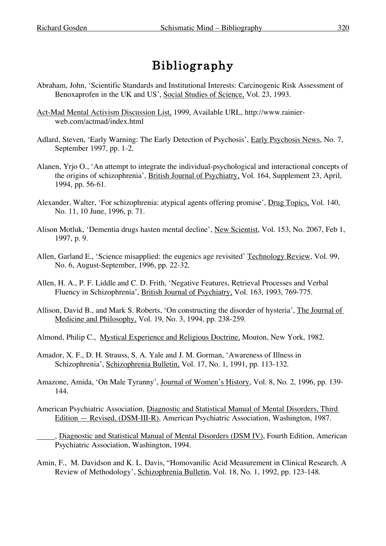## Bibliography

- Abraham, John, 'Scientific Standards and Institutional Interests: Carcinogenic Risk Assessment of Benoxaprofen in the UK and US', Social Studies of Science, Vol. 23, 1993.
- Act-Mad Mental Activism Discussion List, 1999, Available URL, http://www.rainierweb.com/actmad/index.html
- Adlard, Steven, 'Early Warning: The Early Detection of Psychosis', Early Psychosis News, No. 7, September 1997, pp. 1-2.
- Alanen, Yrjo O., 'An attempt to integrate the individual-psychological and interactional concepts of the origins of schizophrenia', British Journal of Psychiatry, Vol. 164, Supplement 23, April, 1994, pp. 56-61.
- Alexander, Walter, 'For schizophrenia: atypical agents offering promise', Drug Topics, Vol. 140, No. 11, 10 June, 1996, p. 71.
- Alison Motluk, 'Dementia drugs hasten mental decline', New Scientist, Vol. 153, No. 2067, Feb 1, 1997, p. 9.
- Allen, Garland E., 'Science misapplied: the eugenics age revisited' Technology Review, Vol. 99, No. 6, August-September, 1996, pp. 22-32.
- Allen, H. A., P. F. Liddle and C. D. Frith, 'Negative Features, Retrieval Processes and Verbal Fluency in Schizophrenia', British Journal of Psychiatry, Vol. 163, 1993, 769-775.
- Allison, David B., and Mark S. Roberts, 'On constructing the disorder of hysteria', The Journal of Medicine and Philosophy, Vol. 19, No. 3, 1994, pp. 238-259.
- Almond, Philip C., Mystical Experience and Religious Doctrine, Mouton, New York, 1982.
- Amador, X. F., D. H. Strauss, S. A. Yale and J. M. Gorman, 'Awareness of Illness in Schizophrenia', Schizophrenia Bulletin, Vol. 17, No. 1, 1991, pp. 113-132.
- Amazone, Amida, 'On Male Tyranny', Journal of Women's History, Vol. 8, No. 2, 1996, pp. 139- 144.
- American Psychiatric Association, Diagnostic and Statistical Manual of Mental Disorders, Third Edition — Revised, (DSM-III-R), American Psychiatric Association, Washington, 1987.
	- , Diagnostic and Statistical Manual of Mental Disorders (DSM IV), Fourth Edition, American Psychiatric Association, Washington, 1994.
- Amin, F., M. Davidson and K. L. Davis, "Homovanilic Acid Measurement in Clinical Research. A Review of Methodology', Schizophrenia Bulletin, Vol. 18, No. 1, 1992, pp. 123-148.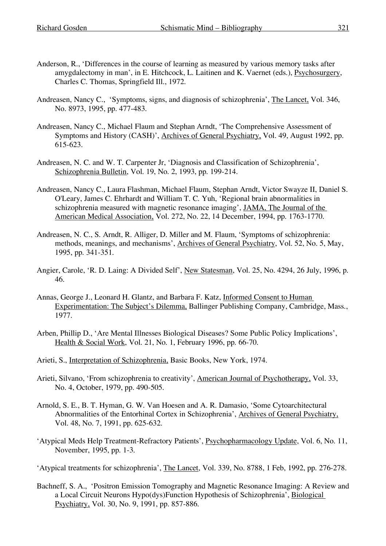- Anderson, R., 'Differences in the course of learning as measured by various memory tasks after amygdalectomy in man', in E. Hitchcock, L. Laitinen and K. Vaernet (eds.), Psychosurgery, Charles C. Thomas, Springfield Ill., 1972.
- Andreasen, Nancy C., 'Symptoms, signs, and diagnosis of schizophrenia', The Lancet, Vol. 346, No. 8973, 1995, pp. 477-483.
- Andreasen, Nancy C., Michael Flaum and Stephan Arndt, 'The Comprehensive Assessment of Symptoms and History (CASH)', Archives of General Psychiatry, Vol. 49, August 1992, pp. 615-623.
- Andreasen, N. C. and W. T. Carpenter Jr, 'Diagnosis and Classification of Schizophrenia', Schizophrenia Bulletin, Vol. 19, No. 2, 1993, pp. 199-214.
- Andreasen, Nancy C., Laura Flashman, Michael Flaum, Stephan Arndt, Victor Swayze II, Daniel S. O'Leary, James C. Ehrhardt and William T. C. Yuh, 'Regional brain abnormalities in schizophrenia measured with magnetic resonance imaging', JAMA, The Journal of the American Medical Association, Vol. 272, No. 22, 14 December, 1994, pp. 1763-1770.
- Andreasen, N. C., S. Arndt, R. Alliger, D. Miller and M. Flaum, 'Symptoms of schizophrenia: methods, meanings, and mechanisms', Archives of General Psychiatry, Vol. 52, No. 5, May, 1995, pp. 341-351.
- Angier, Carole, 'R. D. Laing: A Divided Self', New Statesman, Vol. 25, No. 4294, 26 July, 1996, p. 46.
- Annas, George J., Leonard H. Glantz, and Barbara F. Katz, Informed Consent to Human Experimentation: The Subject's Dilemma, Ballinger Publishing Company, Cambridge, Mass., 1977.
- Arben, Phillip D., 'Are Mental Illnesses Biological Diseases? Some Public Policy Implications', Health & Social Work, Vol. 21, No. 1, February 1996, pp. 66-70.
- Arieti, S., Interpretation of Schizophrenia, Basic Books, New York, 1974.
- Arieti, Silvano, 'From schizophrenia to creativity', American Journal of Psychotherapy, Vol. 33, No. 4, October, 1979, pp. 490-505.
- Arnold, S. E., B. T. Hyman, G. W. Van Hoesen and A. R. Damasio, 'Some Cytoarchitectural Abnormalities of the Entorhinal Cortex in Schizophrenia', Archives of General Psychiatry, Vol. 48, No. 7, 1991, pp. 625-632.
- 'Atypical Meds Help Treatment-Refractory Patients', Psychopharmacology Update, Vol. 6, No. 11, November, 1995, pp. 1-3.
- 'Atypical treatments for schizophrenia', The Lancet, Vol. 339, No. 8788, 1 Feb, 1992, pp. 276-278.
- Bachneff, S. A., 'Positron Emission Tomography and Magnetic Resonance Imaging: A Review and a Local Circuit Neurons Hypo(dys)Function Hypothesis of Schizophrenia', Biological Psychiatry, Vol. 30, No. 9, 1991, pp. 857-886.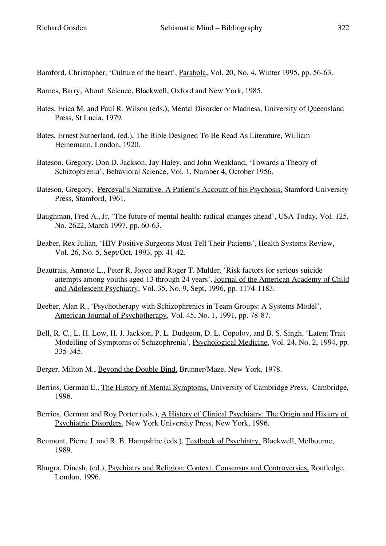Bamford, Christopher, 'Culture of the heart', Parabola, Vol. 20, No. 4, Winter 1995, pp. 56-63.

- Barnes, Barry, About Science, Blackwell, Oxford and New York, 1985.
- Bates, Erica M. and Paul R. Wilson (eds.), Mental Disorder or Madness, University of Queensland Press, St Lucia, 1979.
- Bates, Ernest Sutherland, (ed.), The Bible Designed To Be Read As Literature, William Heinemann, London, 1920.
- Bateson, Gregory, Don D. Jackson, Jay Haley, and John Weakland, 'Towards a Theory of Schizophrenia', Behavioral Science, Vol. 1, Number 4, October 1956.
- Bateson, Gregory, Perceval's Narrative. A Patient's Account of his Psychosis, Stamford University Press, Stamford, 1961.
- Baughman, Fred A., Jr, 'The future of mental health: radical changes ahead', USA Today, Vol. 125, No. 2622, March 1997, pp. 60-63.
- Beaber, Rex Julian, 'HIV Positive Surgeons Must Tell Their Patients', Health Systems Review, Vol. 26, No. 5, Sept/Oct. 1993, pp. 41-42.
- Beautrais, Annette L., Peter R. Joyce and Roger T. Mulder, 'Risk factors for serious suicide attempts among youths aged 13 through 24 years', Journal of the American Academy of Child and Adolescent Psychiatry, Vol. 35, No. 9, Sept, 1996, pp. 1174-1183.
- Beeber, Alan R., 'Psychotherapy with Schizophrenics in Team Groups: A Systems Model', American Journal of Psychotherapy, Vol. 45, No. 1, 1991, pp. 78-87.
- Bell, R. C., L. H. Low, H. J. Jackson, P. L. Dudgeon, D. L. Copolov, and B. S. Singh, 'Latent Trait Modelling of Symptoms of Schizophrenia', Psychological Medicine, Vol. 24, No. 2, 1994, pp. 335-345.
- Berger, Milton M., Beyond the Double Bind, Brunner/Maze, New York, 1978.
- Berrios, German E., The History of Mental Symptoms, University of Cambridge Press, Cambridge, 1996.
- Berrios, German and Roy Porter (eds.), A History of Clinical Psychiatry: The Origin and History of Psychiatric Disorders, New York University Press, New York, 1996.
- Beumont, Pierre J. and R. B. Hampshire (eds.), Textbook of Psychiatry, Blackwell, Melbourne, 1989.
- Bhugra, Dinesh, (ed.), Psychiatry and Religion: Context, Consensus and Controversies, Routledge, London, 1996.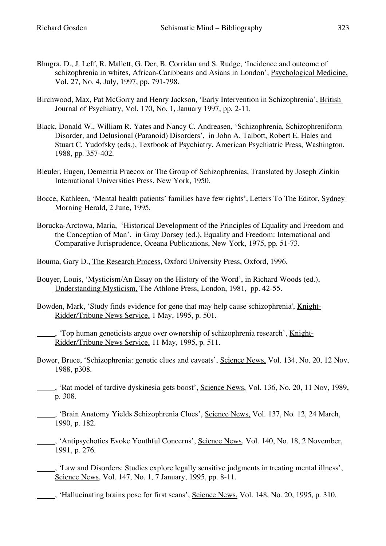- Bhugra, D., J. Leff, R. Mallett, G. Der, B. Corridan and S. Rudge, 'Incidence and outcome of schizophrenia in whites, African-Caribbeans and Asians in London', Psychological Medicine, Vol. 27, No. 4, July, 1997, pp. 791-798.
- Birchwood, Max, Pat McGorry and Henry Jackson, 'Early Intervention in Schizophrenia', British Journal of Psychiatry, Vol. 170, No. 1, January 1997, pp. 2-11.
- Black, Donald W., William R. Yates and Nancy C. Andreasen, 'Schizophrenia, Schizophreniform Disorder, and Delusional (Paranoid) Disorders', in John A. Talbott, Robert E. Hales and Stuart C. Yudofsky (eds.), Textbook of Psychiatry, American Psychiatric Press, Washington, 1988, pp. 357-402.
- Bleuler, Eugen, Dementia Praecox or The Group of Schizophrenias, Translated by Joseph Zinkin International Universities Press, New York, 1950.
- Bocce, Kathleen, 'Mental health patients' families have few rights', Letters To The Editor, Sydney Morning Herald, 2 June, 1995.
- Borucka-Arctowa, Maria, 'Historical Development of the Principles of Equality and Freedom and the Conception of Man', in Gray Dorsey (ed.), Equality and Freedom: International and Comparative Jurisprudence, Oceana Publications, New York, 1975, pp. 51-73.
- Bouma, Gary D., The Research Process, Oxford University Press, Oxford, 1996.
- Bouyer, Louis, 'Mysticism/An Essay on the History of the Word', in Richard Woods (ed.), Understanding Mysticism, The Athlone Press, London, 1981, pp. 42-55.
- Bowden, Mark, 'Study finds evidence for gene that may help cause schizophrenia', Knight-Ridder/Tribune News Service, 1 May, 1995, p. 501.

, 'Top human geneticists argue over ownership of schizophrenia research', Knight-Ridder/Tribune News Service, 11 May, 1995, p. 511.

- Bower, Bruce, 'Schizophrenia: genetic clues and caveats', Science News, Vol. 134, No. 20, 12 Nov, 1988, p308.
- , 'Rat model of tardive dyskinesia gets boost', Science News, Vol. 136, No. 20, 11 Nov, 1989, p. 308.
- <sup>9</sup>. Section Anatomy Yields Schizophrenia Clues', Science News, Vol. 137, No. 12, 24 March, 1990, p. 182.
- , 'Antipsychotics Evoke Youthful Concerns', Science News, Vol. 140, No. 18, 2 November, 1991, p. 276.
- , 'Law and Disorders: Studies explore legally sensitive judgments in treating mental illness', Science News, Vol. 147, No. 1, 7 January, 1995, pp. 8-11.
- , 'Hallucinating brains pose for first scans', Science News, Vol. 148, No. 20, 1995, p. 310.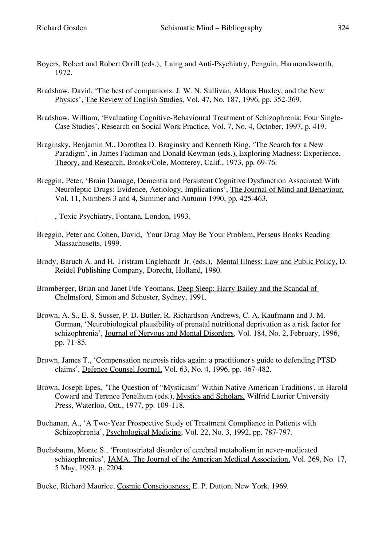- Boyers, Robert and Robert Orrill (eds.), Laing and Anti-Psychiatry, Penguin, Harmondsworth, 1972.
- Bradshaw, David, 'The best of companions: J. W. N. Sullivan, Aldous Huxley, and the New Physics', The Review of English Studies, Vol. 47, No. 187, 1996, pp. 352-369.
- Bradshaw, William, 'Evaluating Cognitive-Behavioural Treatment of Schizophrenia: Four Single-Case Studies', Research on Social Work Practice, Vol. 7, No. 4, October, 1997, p. 419.
- Braginsky, Benjamin M., Dorothea D. Braginsky and Kenneth Ring, 'The Search for a New Paradigm', in James Fadiman and Donald Kewman (eds.), Exploring Madness: Experience, Theory, and Research, Brooks/Cole, Monterey, Calif., 1973, pp. 69-76.
- Breggin, Peter, 'Brain Damage, Dementia and Persistent Cognitive Dysfunction Associated With Neuroleptic Drugs: Evidence, Aetiology, Implications', The Journal of Mind and Behaviour, Vol. 11, Numbers 3 and 4, Summer and Autumn 1990, pp. 425-463.

, Toxic Psychiatry, Fontana, London, 1993.

- Breggin, Peter and Cohen, David, Your Drug May Be Your Problem, Perseus Books Reading Massachusetts, 1999.
- Brody, Baruch A. and H. Tristram Englehardt Jr. (eds.), Mental Illness: Law and Public Policy, D. Reidel Publishing Company, Dorecht, Holland, 1980.
- Bromberger, Brian and Janet Fife-Yeomans, Deep Sleep: Harry Bailey and the Scandal of Chelmsford, Simon and Schuster, Sydney, 1991.
- Brown, A. S., E. S. Susser, P. D. Butler, R. Richardson-Andrews, C. A. Kaufmann and J. M. Gorman, 'Neurobiological plausibility of prenatal nutritional deprivation as a risk factor for schizophrenia', Journal of Nervous and Mental Disorders, Vol. 184, No. 2, February, 1996, pp. 71-85.
- Brown, James T., 'Compensation neurosis rides again: a practitioner's guide to defending PTSD claims', Defence Counsel Journal, Vol. 63, No. 4, 1996, pp. 467-482.
- Brown, Joseph Epes, 'The Question of "Mysticism" Within Native American Traditions', in Harold Coward and Terence Penelhum (eds.), Mystics and Scholars, Wilfrid Laurier University Press, Waterloo, Ont., 1977, pp. 109-118.
- Buchanan, A., 'A Two-Year Prospective Study of Treatment Compliance in Patients with Schizophrenia', Psychological Medicine, Vol. 22, No. 3, 1992, pp. 787-797.
- Buchsbaum, Monte S., 'Frontostriatal disorder of cerebral metabolism in never-medicated schizophrenics', JAMA, The Journal of the American Medical Association, Vol. 269, No. 17, 5 May, 1993, p. 2204.

Bucke, Richard Maurice, Cosmic Consciousness, E. P. Dutton, New York, 1969.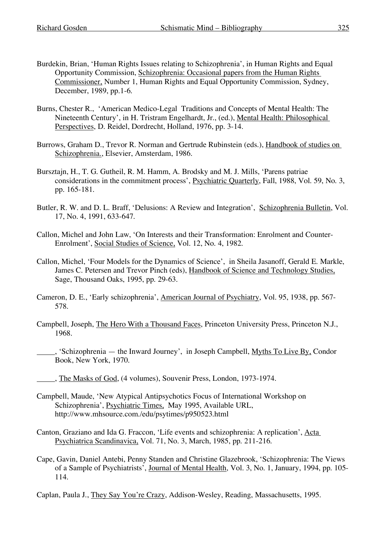- Burdekin, Brian, 'Human Rights Issues relating to Schizophrenia', in Human Rights and Equal Opportunity Commission, Schizophrenia: Occasional papers from the Human Rights Commissioner, Number 1, Human Rights and Equal Opportunity Commission, Sydney, December, 1989, pp.1-6.
- Burns, Chester R., 'American Medico-Legal Traditions and Concepts of Mental Health: The Nineteenth Century', in H. Tristram Engelhardt, Jr., (ed.), Mental Health: Philosophical Perspectives, D. Reidel, Dordrecht, Holland, 1976, pp. 3-14.
- Burrows, Graham D., Trevor R. Norman and Gertrude Rubinstein (eds.), Handbook of studies on Schizophrenia., Elsevier, Amsterdam, 1986.
- Bursztajn, H., T. G. Gutheil, R. M. Hamm, A. Brodsky and M. J. Mills, 'Parens patriae considerations in the commitment process', Psychiatric Quarterly, Fall, 1988, Vol. 59, No. 3, pp. 165-181.
- Butler, R. W. and D. L. Braff, 'Delusions: A Review and Integration', Schizophrenia Bulletin, Vol. 17, No. 4, 1991, 633-647.
- Callon, Michel and John Law, 'On Interests and their Transformation: Enrolment and Counter-Enrolment', Social Studies of Science, Vol. 12, No. 4, 1982.
- Callon, Michel, 'Four Models for the Dynamics of Science', in Sheila Jasanoff, Gerald E. Markle, James C. Petersen and Trevor Pinch (eds), Handbook of Science and Technology Studies, Sage, Thousand Oaks, 1995, pp. 29-63.
- Cameron, D. E., 'Early schizophrenia', American Journal of Psychiatry, Vol. 95, 1938, pp. 567- 578.
- Campbell, Joseph, The Hero With a Thousand Faces, Princeton University Press, Princeton N.J., 1968.
- , 'Schizophrenia the Inward Journey', in Joseph Campbell, Myths To Live By, Condor Book, New York, 1970.
- , The Masks of God, (4 volumes), Souvenir Press, London, 1973-1974.
- Campbell, Maude, 'New Atypical Antipsychotics Focus of International Workshop on Schizophrenia', Psychiatric Times, May 1995, Available URL, http://www.mhsource.com./edu/psytimes/p950523.html
- Canton, Graziano and Ida G. Fraccon, 'Life events and schizophrenia: A replication', Acta Psychiatrica Scandinavica, Vol. 71, No. 3, March, 1985, pp. 211-216.
- Cape, Gavin, Daniel Antebi, Penny Standen and Christine Glazebrook, 'Schizophrenia: The Views of a Sample of Psychiatrists', Journal of Mental Health, Vol. 3, No. 1, January, 1994, pp. 105- 114.
- Caplan, Paula J., They Say You're Crazy, Addison-Wesley, Reading, Massachusetts, 1995.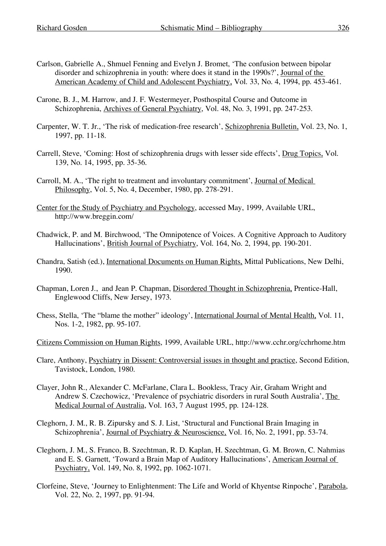- Carlson, Gabrielle A., Shmuel Fenning and Evelyn J. Bromet, 'The confusion between bipolar disorder and schizophrenia in youth: where does it stand in the 1990s?', Journal of the American Academy of Child and Adolescent Psychiatry, Vol. 33, No. 4, 1994, pp. 453-461.
- Carone, B. J., M. Harrow, and J. F. Westermeyer, Posthospital Course and Outcome in Schizophrenia, Archives of General Psychiatry, Vol. 48, No. 3, 1991, pp. 247-253.
- Carpenter, W. T. Jr., 'The risk of medication-free research', Schizophrenia Bulletin, Vol. 23, No. 1, 1997, pp. 11-18.
- Carrell, Steve, 'Coming: Host of schizophrenia drugs with lesser side effects', Drug Topics, Vol. 139, No. 14, 1995, pp. 35-36.
- Carroll, M. A., 'The right to treatment and involuntary commitment', Journal of Medical Philosophy, Vol. 5, No. 4, December, 1980, pp. 278-291.
- Center for the Study of Psychiatry and Psychology, accessed May, 1999, Available URL, http://www.breggin.com/
- Chadwick, P. and M. Birchwood, 'The Omnipotence of Voices. A Cognitive Approach to Auditory Hallucinations', British Journal of Psychiatry, Vol. 164, No. 2, 1994, pp. 190-201.
- Chandra, Satish (ed.), International Documents on Human Rights, Mittal Publications, New Delhi, 1990.
- Chapman, Loren J., and Jean P. Chapman, Disordered Thought in Schizophrenia, Prentice-Hall, Englewood Cliffs, New Jersey, 1973.
- Chess, Stella, 'The "blame the mother" ideology', International Journal of Mental Health, Vol. 11, Nos. 1-2, 1982, pp. 95-107.
- Citizens Commission on Human Rights, 1999, Available URL, http://www.cchr.org/cchrhome.htm
- Clare, Anthony, Psychiatry in Dissent: Controversial issues in thought and practice, Second Edition, Tavistock, London, 1980.
- Clayer, John R., Alexander C. McFarlane, Clara L. Bookless, Tracy Air, Graham Wright and Andrew S. Czechowicz, 'Prevalence of psychiatric disorders in rural South Australia', The Medical Journal of Australia, Vol. 163, 7 August 1995, pp. 124-128.
- Cleghorn, J. M., R. B. Zipursky and S. J. List, 'Structural and Functional Brain Imaging in Schizophrenia', Journal of Psychiatry & Neuroscience, Vol. 16, No. 2, 1991, pp. 53-74.
- Cleghorn, J. M., S. Franco, B. Szechtman, R. D. Kaplan, H. Szechtman, G. M. Brown, C. Nahmias and E. S. Garnett, 'Toward a Brain Map of Auditory Hallucinations', American Journal of Psychiatry, Vol. 149, No. 8, 1992, pp. 1062-1071.
- Clorfeine, Steve, 'Journey to Enlightenment: The Life and World of Khyentse Rinpoche', Parabola, Vol. 22, No. 2, 1997, pp. 91-94.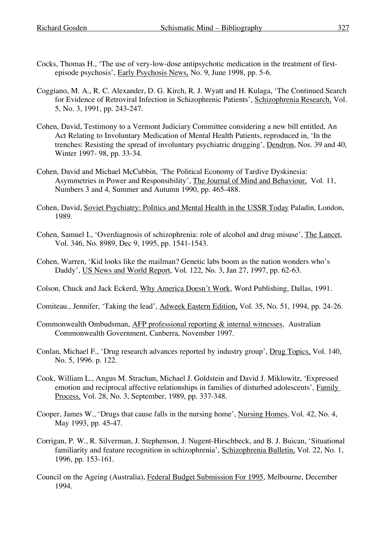- Cocks, Thomas H., 'The use of very-low-dose antipsychotic medication in the treatment of firstepisode psychosis', Early Psychosis News, No. 9, June 1998, pp. 5-6.
- Coggiano, M. A., R. C. Alexander, D. G. Kirch, R. J. Wyatt and H. Kulaga, 'The Continued Search for Evidence of Retroviral Infection in Schizophrenic Patients', Schizophrenia Research, Vol. 5, No. 3, 1991, pp. 243-247.
- Cohen, David, Testimony to a Vermont Judiciary Committee considering a new bill entitled, An Act Relating to Involuntary Medication of Mental Health Patients, reproduced in, 'In the trenches: Resisting the spread of involuntary psychiatric drugging', Dendron, Nos. 39 and 40, Winter 1997- 98, pp. 33-34.
- Cohen, David and Michael McCubbin, 'The Political Economy of Tardive Dyskinesia: Asymmetries in Power and Responsibility', The Journal of Mind and Behaviour, Vol. 11, Numbers 3 and 4, Summer and Autumn 1990, pp. 465-488.
- Cohen, David, Soviet Psychiatry: Politics and Mental Health in the USSR Today Paladin, London, 1989.
- Cohen, Samuel I., 'Overdiagnosis of schizophrenia: role of alcohol and drug misuse', The Lancet, Vol. 346, No. 8989, Dec 9, 1995, pp. 1541-1543.
- Cohen, Warren, 'Kid looks like the mailman? Genetic labs boom as the nation wonders who's Daddy', US News and World Report, Vol. 122, No. 3, Jan 27, 1997, pp. 62-63.
- Colson, Chuck and Jack Eckerd, Why America Doesn't Work, Word Publishing, Dallas, 1991.
- Comiteau., Jennifer, 'Taking the lead', Adweek Eastern Edition, Vol. 35, No. 51, 1994, pp. 24-26.
- Commonwealth Ombudsman, AFP professional reporting & internal witnesses, Australian Commonwealth Government, Canberra, November 1997.
- Conlan, Michael F., 'Drug research advances reported by industry group', Drug Topics, Vol. 140, No. 5, 1996. p. 122.
- Cook, William L., Angus M. Strachan, Michael J. Goldstein and David J. Miklowitz, 'Expressed emotion and reciprocal affective relationships in families of disturbed adolescents', Family Process, Vol. 28, No. 3, September, 1989, pp. 337-348.
- Cooper, James W., 'Drugs that cause falls in the nursing home', Nursing Homes, Vol. 42, No. 4, May 1993, pp. 45-47.
- Corrigan, P. W., R. Silverman, J. Stephenson, J. Nugent-Hirschbeck, and B. J. Buican, 'Situational familiarity and feature recognition in schizophrenia', Schizophrenia Bulletin, Vol. 22, No. 1, 1996, pp. 153-161.
- Council on the Ageing (Australia), Federal Budget Submission For 1995, Melbourne, December 1994.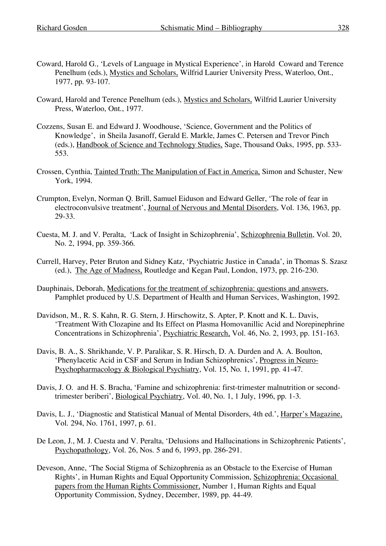- Coward, Harold G., 'Levels of Language in Mystical Experience', in Harold Coward and Terence Penelhum (eds.), Mystics and Scholars, Wilfrid Laurier University Press, Waterloo, Ont., 1977, pp. 93-107.
- Coward, Harold and Terence Penelhum (eds.), Mystics and Scholars, Wilfrid Laurier University Press, Waterloo, Ont., 1977.
- Cozzens, Susan E. and Edward J. Woodhouse, 'Science, Government and the Politics of Knowledge', in Sheila Jasanoff, Gerald E. Markle, James C. Petersen and Trevor Pinch (eds.), Handbook of Science and Technology Studies, Sage, Thousand Oaks, 1995, pp. 533- 553.
- Crossen, Cynthia, Tainted Truth: The Manipulation of Fact in America, Simon and Schuster, New York, 1994.
- Crumpton, Evelyn, Norman Q. Brill, Samuel Eiduson and Edward Geller, 'The role of fear in electroconvulsive treatment', Journal of Nervous and Mental Disorders, Vol. 136, 1963, pp. 29-33.
- Cuesta, M. J. and V. Peralta, 'Lack of Insight in Schizophrenia', Schizophrenia Bulletin, Vol. 20, No. 2, 1994, pp. 359-366.
- Currell, Harvey, Peter Bruton and Sidney Katz, 'Psychiatric Justice in Canada', in Thomas S. Szasz (ed.), The Age of Madness, Routledge and Kegan Paul, London, 1973, pp. 216-230.
- Dauphinais, Deborah, Medications for the treatment of schizophrenia: questions and answers, Pamphlet produced by U.S. Department of Health and Human Services, Washington, 1992.
- Davidson, M., R. S. Kahn, R. G. Stern, J. Hirschowitz, S. Apter, P. Knott and K. L. Davis, 'Treatment With Clozapine and Its Effect on Plasma Homovanillic Acid and Norepinephrine Concentrations in Schizophrenia', Psychiatric Research, Vol. 46, No. 2, 1993, pp. 151-163.
- Davis, B. A., S. Shrikhande, V. P. Paralikar, S. R. Hirsch, D. A. Durden and A. A. Boulton, 'Phenylacetic Acid in CSF and Serum in Indian Schizophrenics', Progress in Neuro-Psychopharmacology & Biological Psychiatry, Vol. 15, No. 1, 1991, pp. 41-47.
- Davis, J. O. and H. S. Bracha, 'Famine and schizophrenia: first-trimester malnutrition or secondtrimester beriberi', Biological Psychiatry, Vol. 40, No. 1, 1 July, 1996, pp. 1-3.
- Davis, L. J., 'Diagnostic and Statistical Manual of Mental Disorders, 4th ed.', Harper's Magazine, Vol. 294, No. 1761, 1997, p. 61.
- De Leon, J., M. J. Cuesta and V. Peralta, 'Delusions and Hallucinations in Schizophrenic Patients', Psychopathology, Vol. 26, Nos. 5 and 6, 1993, pp. 286-291.
- Deveson, Anne, 'The Social Stigma of Schizophrenia as an Obstacle to the Exercise of Human Rights', in Human Rights and Equal Opportunity Commission, Schizophrenia: Occasional papers from the Human Rights Commissioner, Number 1, Human Rights and Equal Opportunity Commission, Sydney, December, 1989, pp. 44-49.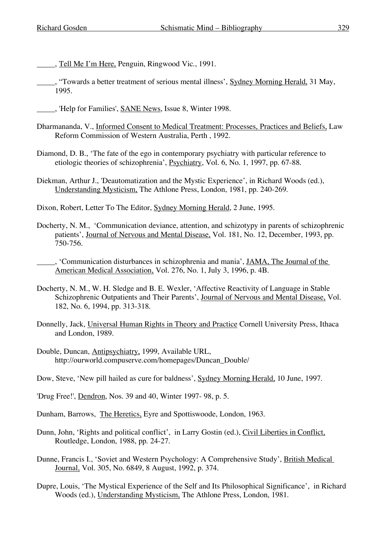- , Tell Me I'm Here, Penguin, Ringwood Vic., 1991.
- , "Towards a better treatment of serious mental illness', Sydney Morning Herald, 31 May, 1995.
- , 'Help for Families', SANE News, Issue 8, Winter 1998.
- Dharmananda, V., Informed Consent to Medical Treatment: Processes, Practices and Beliefs, Law Reform Commission of Western Australia, Perth , 1992.
- Diamond, D. B., 'The fate of the ego in contemporary psychiatry with particular reference to etiologic theories of schizophrenia', Psychiatry, Vol. 6, No. 1, 1997, pp. 67-88.
- Diekman, Arthur J., 'Deautomatization and the Mystic Experience', in Richard Woods (ed.), Understanding Mysticism, The Athlone Press, London, 1981, pp. 240-269.

Dixon, Robert, Letter To The Editor, Sydney Morning Herald, 2 June, 1995.

- Docherty, N. M., 'Communication deviance, attention, and schizotypy in parents of schizophrenic patients', Journal of Nervous and Mental Disease, Vol. 181, No. 12, December, 1993, pp. 750-756.
- , 'Communication disturbances in schizophrenia and mania', JAMA, The Journal of the American Medical Association, Vol. 276, No. 1, July 3, 1996, p. 4B.
- Docherty, N. M., W. H. Sledge and B. E. Wexler, 'Affective Reactivity of Language in Stable Schizophrenic Outpatients and Their Parents', Journal of Nervous and Mental Disease, Vol. 182, No. 6, 1994, pp. 313-318.
- Donnelly, Jack, Universal Human Rights in Theory and Practice Cornell University Press, Ithaca and London, 1989.
- Double, Duncan, Antipsychiatry, 1999, Available URL, http://ourworld.compuserve.com/homepages/Duncan\_Double/
- Dow, Steve, 'New pill hailed as cure for baldness', Sydney Morning Herald, 10 June, 1997.
- 'Drug Free!', Dendron, Nos. 39 and 40, Winter 1997- 98, p. 5.
- Dunham, Barrows, The Heretics, Eyre and Spottiswoode, London, 1963.
- Dunn, John, 'Rights and political conflict', in Larry Gostin (ed.), Civil Liberties in Conflict, Routledge, London, 1988, pp. 24-27.
- Dunne, Francis I., 'Soviet and Western Psychology: A Comprehensive Study', British Medical Journal, Vol. 305, No. 6849, 8 August, 1992, p. 374.
- Dupre, Louis, 'The Mystical Experience of the Self and Its Philosophical Significance', in Richard Woods (ed.), Understanding Mysticism, The Athlone Press, London, 1981.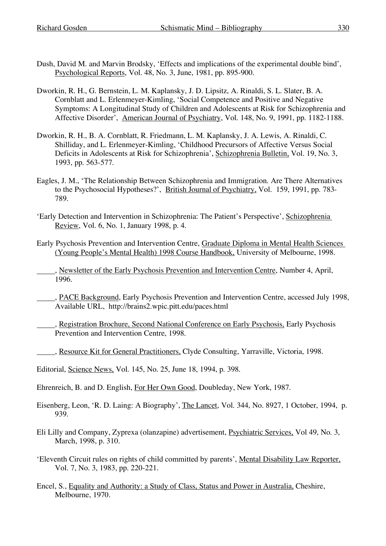- Dush, David M. and Marvin Brodsky, 'Effects and implications of the experimental double bind', Psychological Reports, Vol. 48, No. 3, June, 1981, pp. 895-900.
- Dworkin, R. H., G. Bernstein, L. M. Kaplansky, J. D. Lipsitz, A. Rinaldi, S. L. Slater, B. A. Cornblatt and L. Erlenmeyer-Kimling, 'Social Competence and Positive and Negative Symptoms: A Longitudinal Study of Children and Adolescents at Risk for Schizophrenia and Affective Disorder', American Journal of Psychiatry, Vol. 148, No. 9, 1991, pp. 1182-1188.
- Dworkin, R. H., B. A. Cornblatt, R. Friedmann, L. M. Kaplansky, J. A. Lewis, A. Rinaldi, C. Shilliday, and L. Erlenmeyer-Kimling, 'Childhood Precursors of Affective Versus Social Deficits in Adolescents at Risk for Schizophrenia', Schizophrenia Bulletin, Vol. 19, No. 3, 1993, pp. 563-577.
- Eagles, J. M., 'The Relationship Between Schizophrenia and Immigration. Are There Alternatives to the Psychosocial Hypotheses?', British Journal of Psychiatry, Vol. 159, 1991, pp. 783- 789.
- 'Early Detection and Intervention in Schizophrenia: The Patient's Perspective', Schizophrenia Review, Vol. 6, No. 1, January 1998, p. 4.
- Early Psychosis Prevention and Intervention Centre, Graduate Diploma in Mental Health Sciences (Young People's Mental Health) 1998 Course Handbook, University of Melbourne, 1998.

, Newsletter of the Early Psychosis Prevention and Intervention Centre, Number 4, April, 1996.

- , PACE Background, Early Psychosis Prevention and Intervention Centre, accessed July 1998, Available URL, http://brains2.wpic.pitt.edu/paces.html
- , Registration Brochure, Second National Conference on Early Psychosis, Early Psychosis Prevention and Intervention Centre, 1998.
- , Resource Kit for General Practitioners, Clyde Consulting, Yarraville, Victoria, 1998.
- Editorial, Science News, Vol. 145, No. 25, June 18, 1994, p. 398.
- Ehrenreich, B. and D. English, For Her Own Good, Doubleday, New York, 1987.
- Eisenberg, Leon, 'R. D. Laing: A Biography', The Lancet, Vol. 344, No. 8927, 1 October, 1994, p. 939.
- Eli Lilly and Company, Zyprexa (olanzapine) advertisement, Psychiatric Services, Vol 49, No. 3, March, 1998, p. 310.
- 'Eleventh Circuit rules on rights of child committed by parents', Mental Disability Law Reporter, Vol. 7, No. 3, 1983, pp. 220-221.
- Encel, S., Equality and Authority: a Study of Class, Status and Power in Australia, Cheshire, Melbourne, 1970.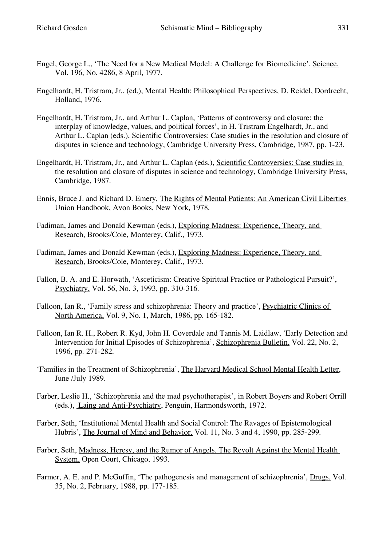- Engel, George L., 'The Need for a New Medical Model: A Challenge for Biomedicine', Science, Vol. 196, No. 4286, 8 April, 1977.
- Engelhardt, H. Tristram, Jr., (ed.), Mental Health: Philosophical Perspectives, D. Reidel, Dordrecht, Holland, 1976.
- Engelhardt, H. Tristram, Jr., and Arthur L. Caplan, 'Patterns of controversy and closure: the interplay of knowledge, values, and political forces', in H. Tristram Engelhardt, Jr., and Arthur L. Caplan (eds.), Scientific Controversies: Case studies in the resolution and closure of disputes in science and technology, Cambridge University Press, Cambridge, 1987, pp. 1-23.
- Engelhardt, H. Tristram, Jr., and Arthur L. Caplan (eds.), Scientific Controversies: Case studies in the resolution and closure of disputes in science and technology, Cambridge University Press, Cambridge, 1987.
- Ennis, Bruce J. and Richard D. Emery, The Rights of Mental Patients: An American Civil Liberties Union Handbook, Avon Books, New York, 1978.
- Fadiman, James and Donald Kewman (eds.), Exploring Madness: Experience, Theory, and Research, Brooks/Cole, Monterey, Calif., 1973.
- Fadiman, James and Donald Kewman (eds.), Exploring Madness: Experience, Theory, and Research, Brooks/Cole, Monterey, Calif., 1973.
- Fallon, B. A. and E. Horwath, 'Asceticism: Creative Spiritual Practice or Pathological Pursuit?', Psychiatry, Vol. 56, No. 3, 1993, pp. 310-316.
- Falloon, Ian R., 'Family stress and schizophrenia: Theory and practice', Psychiatric Clinics of North America, Vol. 9, No. 1, March, 1986, pp. 165-182.
- Falloon, Ian R. H., Robert R. Kyd, John H. Coverdale and Tannis M. Laidlaw, 'Early Detection and Intervention for Initial Episodes of Schizophrenia', Schizophrenia Bulletin, Vol. 22, No. 2, 1996, pp. 271-282.
- 'Families in the Treatment of Schizophrenia', The Harvard Medical School Mental Health Letter, June /July 1989.
- Farber, Leslie H., 'Schizophrenia and the mad psychotherapist', in Robert Boyers and Robert Orrill (eds.), Laing and Anti-Psychiatry, Penguin, Harmondsworth, 1972.
- Farber, Seth, 'Institutional Mental Health and Social Control: The Ravages of Epistemological Hubris', The Journal of Mind and Behavior, Vol. 11, No. 3 and 4, 1990, pp. 285-299.
- Farber, Seth, Madness, Heresy, and the Rumor of Angels, The Revolt Against the Mental Health System, Open Court, Chicago, 1993.
- Farmer, A. E. and P. McGuffin, 'The pathogenesis and management of schizophrenia', Drugs, Vol. 35, No. 2, February, 1988, pp. 177-185.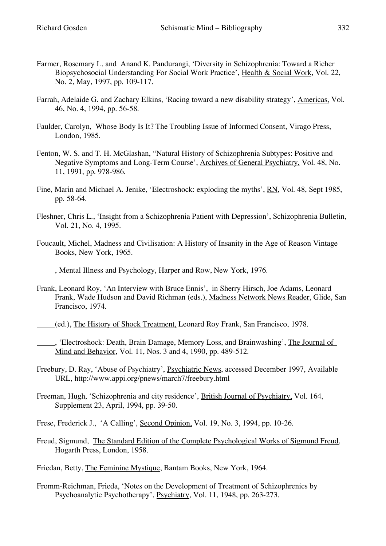- Farmer, Rosemary L. and Anand K. Pandurangi, 'Diversity in Schizophrenia: Toward a Richer Biopsychosocial Understanding For Social Work Practice', Health & Social Work, Vol. 22, No. 2, May, 1997, pp. 109-117.
- Farrah, Adelaide G. and Zachary Elkins, 'Racing toward a new disability strategy', Americas, Vol. 46, No. 4, 1994, pp. 56-58.
- Faulder, Carolyn, Whose Body Is It? The Troubling Issue of Informed Consent, Virago Press, London, 1985.
- Fenton, W. S. and T. H. McGlashan, "Natural History of Schizophrenia Subtypes: Positive and Negative Symptoms and Long-Term Course', Archives of General Psychiatry, Vol. 48, No. 11, 1991, pp. 978-986.
- Fine, Marin and Michael A. Jenike, 'Electroshock: exploding the myths', RN, Vol. 48, Sept 1985, pp. 58-64.
- Fleshner, Chris L., 'Insight from a Schizophrenia Patient with Depression', Schizophrenia Bulletin, Vol. 21, No. 4, 1995.
- Foucault, Michel, Madness and Civilisation: A History of Insanity in the Age of Reason Vintage Books, New York, 1965.

, Mental Illness and Psychology, Harper and Row, New York, 1976.

- Frank, Leonard Roy, 'An Interview with Bruce Ennis', in Sherry Hirsch, Joe Adams, Leonard Frank, Wade Hudson and David Richman (eds.), Madness Network News Reader, Glide, San Francisco, 1974.
- (ed.), The History of Shock Treatment, Leonard Roy Frank, San Francisco, 1978.
- , 'Electroshock: Death, Brain Damage, Memory Loss, and Brainwashing', The Journal of Mind and Behavior, Vol. 11, Nos. 3 and 4, 1990, pp. 489-512.

Freebury, D. Ray, 'Abuse of Psychiatry', Psychiatric News, accessed December 1997, Available URL, http://www.appi.org/pnews/march7/freebury.html

- Freeman, Hugh, 'Schizophrenia and city residence', British Journal of Psychiatry, Vol. 164, Supplement 23, April, 1994, pp. 39-50.
- Frese, Frederick J., 'A Calling', Second Opinion, Vol. 19, No. 3, 1994, pp. 10-26.
- Freud, Sigmund, The Standard Edition of the Complete Psychological Works of Sigmund Freud, Hogarth Press, London, 1958.

Friedan, Betty, The Feminine Mystique, Bantam Books, New York, 1964.

Fromm-Reichman, Frieda, 'Notes on the Development of Treatment of Schizophrenics by Psychoanalytic Psychotherapy', Psychiatry, Vol. 11, 1948, pp. 263-273.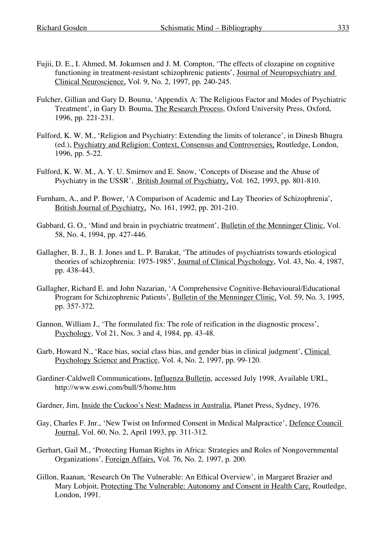- Fujii, D. E., I. Ahmed, M. Jokumsen and J. M. Compton, 'The effects of clozapine on cognitive functioning in treatment-resistant schizophrenic patients', Journal of Neuropsychiatry and Clinical Neuroscience, Vol. 9, No. 2, 1997, pp. 240-245.
- Fulcher, Gillian and Gary D. Bouma, 'Appendix A: The Religious Factor and Modes of Psychiatric Treatment', in Gary D. Bouma, The Research Process, Oxford University Press, Oxford, 1996, pp. 221-231.
- Fulford, K. W. M., 'Religion and Psychiatry: Extending the limits of tolerance', in Dinesh Bhugra (ed.), Psychiatry and Religion: Context, Consensus and Controversies, Routledge, London, 1996, pp. 5-22.
- Fulford, K. W. M., A. Y. U. Smirnov and E. Snow, 'Concepts of Disease and the Abuse of Psychiatry in the USSR', British Journal of Psychiatry, Vol. 162, 1993, pp. 801-810.
- Furnham, A., and P. Bower, 'A Comparison of Academic and Lay Theories of Schizophrenia', British Journal of Psychiatry, No. 161, 1992, pp. 201-210.
- Gabbard, G. O., 'Mind and brain in psychiatric treatment', Bulletin of the Menninger Clinic, Vol. 58, No. 4, 1994, pp. 427-446.
- Gallagher, B. J., B. J. Jones and L. P. Barakat, 'The attitudes of psychiatrists towards etiological theories of schizophrenia: 1975-1985', Journal of Clinical Psychology, Vol. 43, No. 4, 1987, pp. 438-443.
- Gallagher, Richard E. and John Nazarian, 'A Comprehensive Cognitive-Behavioural/Educational Program for Schizophrenic Patients', Bulletin of the Menninger Clinic, Vol. 59, No. 3, 1995, pp. 357-372.
- Gannon, William J., 'The formulated fix: The role of reification in the diagnostic process', Psychology, Vol 21, Nos. 3 and 4, 1984, pp. 43-48.
- Garb, Howard N., 'Race bias, social class bias, and gender bias in clinical judgment', Clinical Psychology Science and Practice, Vol. 4, No. 2, 1997, pp. 99-120.
- Gardiner-Caldwell Communications, Influenza Bulletin, accessed July 1998, Available URL, http://www.eswi.com/bull/5/home.htm
- Gardner, Jim, Inside the Cuckoo's Nest: Madness in Australia, Planet Press, Sydney, 1976.
- Gay, Charles F. Jnr., 'New Twist on Informed Consent in Medical Malpractice', Defence Council Journal, Vol. 60, No. 2, April 1993, pp. 311-312.
- Gerhart, Gail M., 'Protecting Human Rights in Africa: Strategies and Roles of Nongovernmental Organizations', Foreign Affairs, Vol. 76, No. 2, 1997, p. 200.
- Gillon, Raanan, 'Research On The Vulnerable: An Ethical Overview', in Margaret Brazier and Mary Lobjoit, Protecting The Vulnerable: Autonomy and Consent in Health Care, Routledge, London, 1991.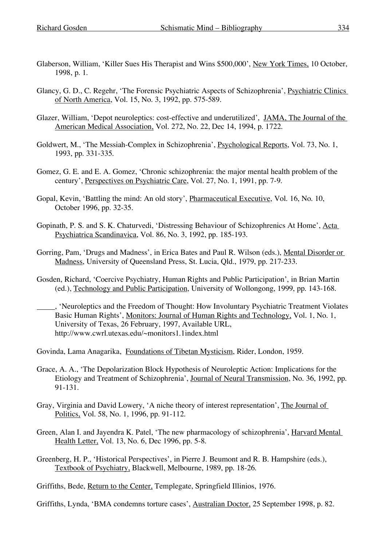- Glaberson, William, 'Killer Sues His Therapist and Wins \$500,000', New York Times, 10 October, 1998, p. 1.
- Glancy, G. D., C. Regehr, 'The Forensic Psychiatric Aspects of Schizophrenia', Psychiatric Clinics of North America, Vol. 15, No. 3, 1992, pp. 575-589.
- Glazer, William, 'Depot neuroleptics: cost-effective and underutilized', JAMA, The Journal of the American Medical Association, Vol. 272, No. 22, Dec 14, 1994, p. 1722.
- Goldwert, M., 'The Messiah-Complex in Schizophrenia', Psychological Reports, Vol. 73, No. 1, 1993, pp. 331-335.
- Gomez, G. E. and E. A. Gomez, 'Chronic schizophrenia: the major mental health problem of the century', Perspectives on Psychiatric Care, Vol. 27, No. 1, 1991, pp. 7-9.
- Gopal, Kevin, 'Battling the mind: An old story', Pharmaceutical Executive, Vol. 16, No. 10, October 1996, pp. 32-35.
- Gopinath, P. S. and S. K. Chaturvedi, 'Distressing Behaviour of Schizophrenics At Home', Acta Psychiatrica Scandinavica, Vol. 86, No. 3, 1992, pp. 185-193.
- Gorring, Pam, 'Drugs and Madness', in Erica Bates and Paul R. Wilson (eds.), Mental Disorder or Madness, University of Queensland Press, St. Lucia, Qld., 1979, pp. 217-233.
- Gosden, Richard, 'Coercive Psychiatry, Human Rights and Public Participation', in Brian Martin (ed.), Technology and Public Participation, University of Wollongong, 1999, pp. 143-168.
- , 'Neuroleptics and the Freedom of Thought: How Involuntary Psychiatric Treatment Violates Basic Human Rights', Monitors: Journal of Human Rights and Technology, Vol. 1, No. 1, University of Texas, 26 February, 1997, Available URL, http://www.cwrl.utexas.edu/~monitors1.1index.html

Govinda, Lama Anagarika, Foundations of Tibetan Mysticism, Rider, London, 1959.

- Grace, A. A., 'The Depolarization Block Hypothesis of Neuroleptic Action: Implications for the Etiology and Treatment of Schizophrenia', Journal of Neural Transmission, No. 36, 1992, pp. 91-131.
- Gray, Virginia and David Lowery, 'A niche theory of interest representation', The Journal of Politics, Vol. 58, No. 1, 1996, pp. 91-112.
- Green, Alan I. and Jayendra K. Patel, 'The new pharmacology of schizophrenia', Harvard Mental Health Letter, Vol. 13, No. 6, Dec 1996, pp. 5-8.
- Greenberg, H. P., 'Historical Perspectives', in Pierre J. Beumont and R. B. Hampshire (eds.), Textbook of Psychiatry, Blackwell, Melbourne, 1989, pp. 18-26.

Griffiths, Bede, Return to the Center, Templegate, Springfield Illinios, 1976.

Griffiths, Lynda, 'BMA condemns torture cases', Australian Doctor, 25 September 1998, p. 82.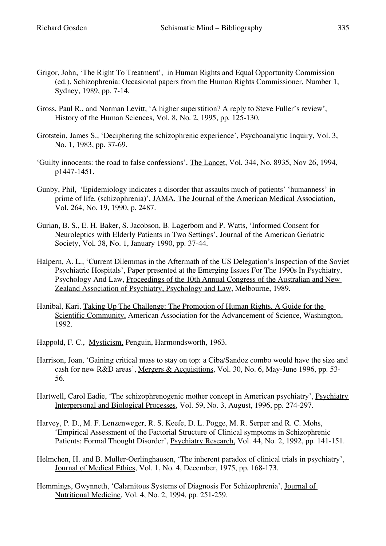- Grigor, John, 'The Right To Treatment', in Human Rights and Equal Opportunity Commission (ed.), Schizophrenia: Occasional papers from the Human Rights Commissioner, Number 1, Sydney, 1989, pp. 7-14.
- Gross, Paul R., and Norman Levitt, 'A higher superstition? A reply to Steve Fuller's review', History of the Human Sciences, Vol. 8, No. 2, 1995, pp. 125-130.
- Grotstein, James S., 'Deciphering the schizophrenic experience', Psychoanalytic Inquiry, Vol. 3, No. 1, 1983, pp. 37-69.
- 'Guilty innocents: the road to false confessions', The Lancet, Vol. 344, No. 8935, Nov 26, 1994, p1447-1451.
- Gunby, Phil, 'Epidemiology indicates a disorder that assaults much of patients' 'humanness' in prime of life. (schizophrenia)', JAMA, The Journal of the American Medical Association, Vol. 264, No. 19, 1990, p. 2487.
- Gurian, B. S., E. H. Baker, S. Jacobson, B. Lagerbom and P. Watts, 'Informed Consent for Neuroleptics with Elderly Patients in Two Settings', Journal of the American Geriatric Society, Vol. 38, No. 1, January 1990, pp. 37-44.
- Halpern, A. L., 'Current Dilemmas in the Aftermath of the US Delegation's Inspection of the Soviet Psychiatric Hospitals', Paper presented at the Emerging Issues For The 1990s In Psychiatry, Psychology And Law, Proceedings of the 10th Annual Congress of the Australian and New Zealand Association of Psychiatry, Psychology and Law, Melbourne, 1989.
- Hanibal, Kari, Taking Up The Challenge: The Promotion of Human Rights. A Guide for the Scientific Community, American Association for the Advancement of Science, Washington, 1992.
- Happold, F. C., Mysticism, Penguin, Harmondsworth, 1963.
- Harrison, Joan, 'Gaining critical mass to stay on top: a Ciba/Sandoz combo would have the size and cash for new R&D areas', Mergers & Acquisitions, Vol. 30, No. 6, May-June 1996, pp. 53- 56.
- Hartwell, Carol Eadie, 'The schizophrenogenic mother concept in American psychiatry', Psychiatry Interpersonal and Biological Processes, Vol. 59, No. 3, August, 1996, pp. 274-297.
- Harvey, P. D., M. F. Lenzenweger, R. S. Keefe, D. L. Pogge, M. R. Serper and R. C. Mohs, 'Empirical Assessment of the Factorial Structure of Clinical symptoms in Schizophrenic Patients: Formal Thought Disorder', Psychiatry Research, Vol. 44, No. 2, 1992, pp. 141-151.
- Helmchen, H. and B. Muller-Oerlinghausen, 'The inherent paradox of clinical trials in psychiatry', Journal of Medical Ethics, Vol. 1, No. 4, December, 1975, pp. 168-173.
- Hemmings, Gwynneth, 'Calamitous Systems of Diagnosis For Schizophrenia', Journal of Nutritional Medicine, Vol. 4, No. 2, 1994, pp. 251-259.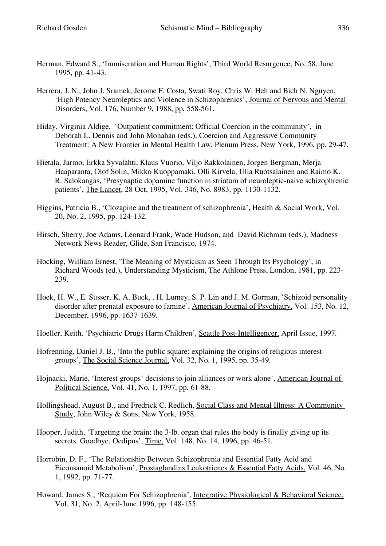- Herman, Edward S., 'Immiseration and Human Rights', Third World Resurgence, No. 58, June 1995, pp. 41-43.
- Herrera, J. N., John J. Sramek, Jerome F. Costa, Swati Roy, Chris W. Heh and Bich N. Nguyen, 'High Potency Neuroleptics and Violence in Schizophrenics', Journal of Nervous and Mental Disorders, Vol. 176, Number 9, 1988, pp. 558-561.
- Hiday, Virginia Aldige, 'Outpatient commitment: Official Coercion in the community', in Deborah L. Dennis and John Monahan (eds.), Coercion and Aggressive Community Treatment: A New Frontier in Mental Health Law, Plenum Press, New York, 1996, pp. 29-47.
- Hietala, Jarmo, Erkka Syvalahti, Klaus Vuorio, Viljo Rakkolainen, Jorgen Bergman, Merja Haaparanta, Olof Solin, Mikko Kuoppamaki, Olli Kirvela, Ulla Ruotsalainen and Raimo K. R. Salokangas, 'Presynaptic dopamine function in striatum of neuroleptic-naive schizophrenic patients', The Lancet, 28 Oct, 1995, Vol. 346, No. 8983, pp. 1130-1132.
- Higgins, Patricia B., 'Clozapine and the treatment of schizophrenia', Health & Social Work, Vol. 20, No. 2, 1995, pp. 124-132.
- Hirsch, Sherry, Joe Adams, Leonard Frank, Wade Hudson, and David Richman (eds.), Madness Network News Reader, Glide, San Francisco, 1974.
- Hocking, William Ernest, 'The Meaning of Mysticism as Seen Through Its Psychology', in Richard Woods (ed.), Understanding Mysticism, The Athlone Press, London, 1981, pp. 223- 239.
- Hoek, H. W., E. Susser, K. A. Buck, . H. Lumey, S. P. Lin and J. M. Gorman, 'Schizoid personality disorder after prenatal exposure to famine', American Journal of Psychiatry, Vol. 153, No. 12, December, 1996, pp. 1637-1639.
- Hoeller, Keith, 'Psychiatric Drugs Harm Children', Seattle Post-Intelligencer, April Issue, 1997.
- Hofrenning, Daniel J. B., 'Into the public square: explaining the origins of religious interest groups', The Social Science Journal, Vol. 32, No. 1, 1995, pp. 35-49.
- Hojnacki, Marie, 'Interest groups' decisions to join alliances or work alone', American Journal of Political Science, Vol. 41, No. 1, 1997, pp. 61-88.
- Hollingshead, August B., and Fredrick C. Redlich, Social Class and Mental Illness: A Community Study, John Wiley & Sons, New York, 1958.
- Hooper, Judith, 'Targeting the brain: the 3-lb. organ that rules the body is finally giving up its secrets. Goodbye, Oedipus', Time, Vol. 148, No. 14, 1996, pp. 46-51.
- Horrobin, D. F., 'The Relationship Between Schizophrenia and Essential Fatty Acid and Eiconsanoid Metabolism', Prostaglandins Leukotrienes & Essential Fatty Acids, Vol. 46, No. 1, 1992, pp. 71-77.
- Howard, James S., 'Requiem For Schizophrenia', Integrative Physiological & Behavioral Science, Vol. 31, No. 2, April-June 1996, pp. 148-155.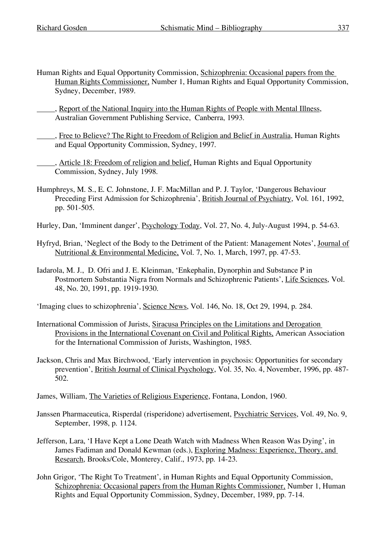- Human Rights and Equal Opportunity Commission, Schizophrenia: Occasional papers from the Human Rights Commissioner, Number 1, Human Rights and Equal Opportunity Commission, Sydney, December, 1989.
	- , Report of the National Inquiry into the Human Rights of People with Mental Illness, Australian Government Publishing Service, Canberra, 1993.
- , Free to Believe? The Right to Freedom of Religion and Belief in Australia, Human Rights and Equal Opportunity Commission, Sydney, 1997.
	- , Article 18: Freedom of religion and belief. Human Rights and Equal Opportunity Commission, Sydney, July 1998.
- Humphreys, M. S., E. C. Johnstone, J. F. MacMillan and P. J. Taylor, 'Dangerous Behaviour Preceding First Admission for Schizophrenia', British Journal of Psychiatry, Vol. 161, 1992, pp. 501-505.
- Hurley, Dan, 'Imminent danger', Psychology Today, Vol. 27, No. 4, July-August 1994, p. 54-63.
- Hyfryd, Brian, 'Neglect of the Body to the Detriment of the Patient: Management Notes', Journal of Nutritional & Environmental Medicine, Vol. 7, No. 1, March, 1997, pp. 47-53.
- Iadarola, M. J., D. Ofri and J. E. Kleinman, 'Enkephalin, Dynorphin and Substance P in Postmortem Substantia Nigra from Normals and Schizophrenic Patients', Life Sciences, Vol. 48, No. 20, 1991, pp. 1919-1930.
- 'Imaging clues to schizophrenia', Science News, Vol. 146, No. 18, Oct 29, 1994, p. 284.
- International Commission of Jurists, Siracusa Principles on the Limitations and Derogation Provisions in the International Covenant on Civil and Political Rights, American Association for the International Commission of Jurists, Washington, 1985.
- Jackson, Chris and Max Birchwood, 'Early intervention in psychosis: Opportunities for secondary prevention', British Journal of Clinical Psychology, Vol. 35, No. 4, November, 1996, pp. 487- 502.
- James, William, The Varieties of Religious Experience, Fontana, London, 1960.
- Janssen Pharmaceutica, Risperdal (risperidone) advertisement, Psychiatric Services, Vol. 49, No. 9, September, 1998, p. 1124.
- Jefferson, Lara, 'I Have Kept a Lone Death Watch with Madness When Reason Was Dying', in James Fadiman and Donald Kewman (eds.), Exploring Madness: Experience, Theory, and Research, Brooks/Cole, Monterey, Calif., 1973, pp. 14-23.
- John Grigor, 'The Right To Treatment', in Human Rights and Equal Opportunity Commission, Schizophrenia: Occasional papers from the Human Rights Commissioner, Number 1, Human Rights and Equal Opportunity Commission, Sydney, December, 1989, pp. 7-14.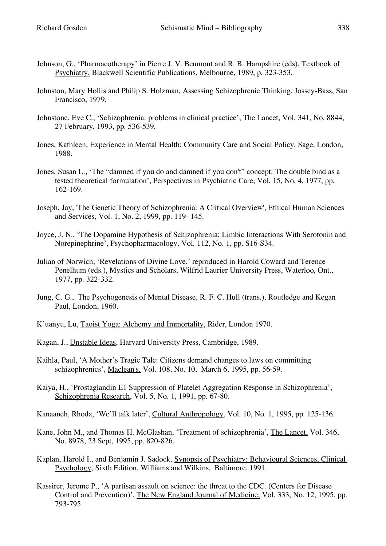- Johnson, G., 'Pharmacotherapy' in Pierre J. V. Beumont and R. B. Hampshire (eds), Textbook of Psychiatry, Blackwell Scientific Publications, Melbourne, 1989, p. 323-353.
- Johnston, Mary Hollis and Philip S. Holzman, Assessing Schizophrenic Thinking, Jossey-Bass, San Francisco, 1979.
- Johnstone, Eve C., 'Schizophrenia: problems in clinical practice', The Lancet, Vol. 341, No. 8844, 27 February, 1993, pp. 536-539.
- Jones, Kathleen, Experience in Mental Health: Community Care and Social Policy, Sage, London, 1988.
- Jones, Susan L., 'The "damned if you do and damned if you don't" concept: The double bind as a tested theoretical formulation', Perspectives in Psychiatric Care, Vol. 15, No. 4, 1977, pp. 162-169.
- Joseph, Jay, 'The Genetic Theory of Schizophrenia: A Critical Overview', Ethical Human Sciences and Services, Vol. 1, No. 2, 1999, pp. 119- 145.
- Joyce, J. N., 'The Dopamine Hypothesis of Schizophrenia: Limbic Interactions With Serotonin and Norepinephrine', Psychopharmacology, Vol. 112, No. 1, pp. S16-S34.
- Julian of Norwich, 'Revelations of Divine Love,' reproduced in Harold Coward and Terence Penelhum (eds.), Mystics and Scholars, Wilfrid Laurier University Press, Waterloo, Ont., 1977, pp. 322-332.
- Jung, C. G., The Psychogenesis of Mental Disease, R. F. C. Hull (trans.), Routledge and Kegan Paul, London, 1960.
- K'uanyu, Lu, Taoist Yoga: Alchemy and Immortality, Rider, London 1970.
- Kagan, J., Unstable Ideas, Harvard University Press, Cambridge, 1989.
- Kaihla, Paul, 'A Mother's Tragic Tale: Citizens demand changes to laws on committing schizophrenics', Maclean's, Vol. 108, No. 10, March 6, 1995, pp. 56-59.
- Kaiya, H., 'Prostaglandin E1 Suppression of Platelet Aggregation Response in Schizophrenia', Schizophrenia Research, Vol. 5, No. 1, 1991, pp. 67-80.
- Kanaaneh, Rhoda, 'We'll talk later', Cultural Anthropology, Vol. 10, No. 1, 1995, pp. 125-136.
- Kane, John M., and Thomas H. McGlashan, 'Treatment of schizophrenia', The Lancet, Vol. 346, No. 8978, 23 Sept, 1995, pp. 820-826.
- Kaplan, Harold I., and Benjamin J. Sadock, Synopsis of Psychiatry: Behavioural Sciences, Clinical Psychology, Sixth Edition, Williams and Wilkins, Baltimore, 1991.
- Kassirer, Jerome P., 'A partisan assault on science: the threat to the CDC. (Centers for Disease Control and Prevention)', The New England Journal of Medicine, Vol. 333, No. 12, 1995, pp. 793-795.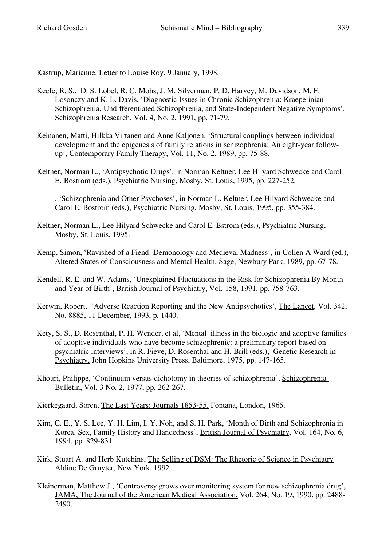Kastrup, Marianne, Letter to Louise Roy, 9 January, 1998.

- Keefe, R. S., D. S. Lobel, R. C. Mohs, J. M. Silverman, P. D. Harvey, M. Davidson, M. F. Losonczy and K. L. Davis, 'Diagnostic Issues in Chronic Schizophrenia: Kraepelinian Schizophrenia, Undifferentiated Schizophrenia, and State-Independent Negative Symptoms', Schizophrenia Research, Vol. 4, No. 2, 1991, pp. 71-79.
- Keinanen, Matti, Hilkka Virtanen and Anne Kaljonen, 'Structural couplings between individual development and the epigenesis of family relations in schizophrenia: An eight-year followup', Contemporary Family Therapy, Vol. 11, No. 2, 1989, pp. 75-88.
- Keltner, Norman L., 'Antipsychotic Drugs', in Norman Keltner, Lee Hilyard Schwecke and Carol E. Bostrom (eds.), Psychiatric Nursing, Mosby, St. Louis, 1995, pp. 227-252.
- , 'Schizophrenia and Other Psychoses', in Norman L. Keltner, Lee Hilyard Schwecke and Carol E. Bostrom (eds.), Psychiatric Nursing, Mosby, St. Louis, 1995, pp. 355-384.
- Keltner, Norman L., Lee Hilyard Schwecke and Carol E. Bstrom (eds.), Psychiatric Nursing, Mosby, St. Louis, 1995.
- Kemp, Simon, 'Ravished of a Fiend: Demonology and Medieval Madness', in Collen A Ward (ed.), Altered States of Consciousness and Mental Health, Sage, Newbury Park, 1989, pp. 67-78.
- Kendell, R. E. and W. Adams, 'Unexplained Fluctuations in the Risk for Schizophrenia By Month and Year of Birth', British Journal of Psychiatry, Vol. 158, 1991, pp. 758-763.
- Kerwin, Robert, 'Adverse Reaction Reporting and the New Antipsychotics', The Lancet, Vol. 342, No. 8885, 11 December, 1993, p. 1440.
- Kety, S. S., D. Rosenthal, P. H. Wender, et al, 'Mental illness in the biologic and adoptive families of adoptive individuals who have become schizophrenic: a preliminary report based on psychiatric interviews', in R. Fieve, D. Rosenthal and H. Brill (eds.), Genetic Research in Psychiatry, John Hopkins University Press, Baltimore, 1975, pp. 147-165.
- Khouri, Philippe, 'Continuum versus dichotomy in theories of schizophrenia', Schizophrenia-Bulletin, Vol. 3 No. 2, 1977, pp. 262-267.

Kierkegaard, Soren, The Last Years: Journals 1853-55, Fontana, London, 1965.

- Kim, C. E., Y. S. Lee, Y. H. Lim, I. Y. Noh, and S. H. Park, 'Month of Birth and Schizophrenia in Korea. Sex, Family History and Handedness', British Journal of Psychiatry, Vol. 164, No. 6, 1994, pp. 829-831.
- Kirk, Stuart A. and Herb Kutchins, The Selling of DSM: The Rhetoric of Science in Psychiatry Aldine De Gruyter, New York, 1992.
- Kleinerman, Matthew J., 'Controversy grows over monitoring system for new schizophrenia drug', JAMA, The Journal of the American Medical Association, Vol. 264, No. 19, 1990, pp. 2488- 2490.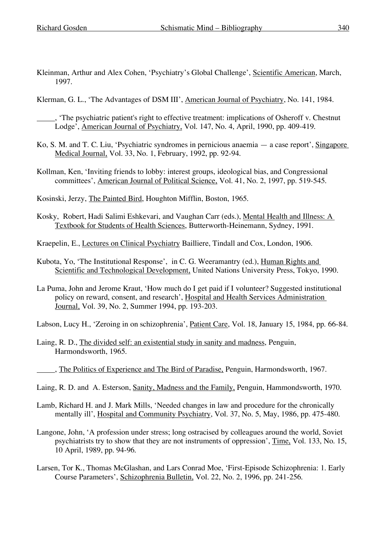- Kleinman, Arthur and Alex Cohen, 'Psychiatry's Global Challenge', Scientific American, March, 1997.
- Klerman, G. L., 'The Advantages of DSM III', American Journal of Psychiatry, No. 141, 1984.
	- , 'The psychiatric patient's right to effective treatment: implications of Osheroff v. Chestnut Lodge', American Journal of Psychiatry, Vol. 147, No. 4, April, 1990, pp. 409-419.
- Ko, S. M. and T. C. Liu, 'Psychiatric syndromes in pernicious anaemia a case report', Singapore Medical Journal, Vol. 33, No. 1, February, 1992, pp. 92-94.
- Kollman, Ken, 'Inviting friends to lobby: interest groups, ideological bias, and Congressional committees', American Journal of Political Science, Vol. 41, No. 2, 1997, pp. 519-545.
- Kosinski, Jerzy, The Painted Bird, Houghton Mifflin, Boston, 1965.
- Kosky, Robert, Hadi Salimi Eshkevari, and Vaughan Carr (eds.), Mental Health and Illness: A Textbook for Students of Health Sciences, Butterworth-Heinemann, Sydney, 1991.
- Kraepelin, E., Lectures on Clinical Psychiatry Bailliere, Tindall and Cox, London, 1906.
- Kubota, Yo, 'The Institutional Response', in C. G. Weeramantry (ed.), Human Rights and Scientific and Technological Development, United Nations University Press, Tokyo, 1990.
- La Puma, John and Jerome Kraut, 'How much do I get paid if I volunteer? Suggested institutional policy on reward, consent, and research', Hospital and Health Services Administration Journal, Vol. 39, No. 2, Summer 1994, pp. 193-203.
- Labson, Lucy H., 'Zeroing in on schizophrenia', Patient Care, Vol. 18, January 15, 1984, pp. 66-84.
- Laing, R. D., The divided self: an existential study in sanity and madness, Penguin, Harmondsworth, 1965.
- , The Politics of Experience and The Bird of Paradise, Penguin, Harmondsworth, 1967.
- Laing, R. D. and A. Esterson, Sanity, Madness and the Family, Penguin, Hammondsworth, 1970.
- Lamb, Richard H. and J. Mark Mills, 'Needed changes in law and procedure for the chronically mentally ill', Hospital and Community Psychiatry, Vol. 37, No. 5, May, 1986, pp. 475-480.
- Langone, John, 'A profession under stress; long ostracised by colleagues around the world, Soviet psychiatrists try to show that they are not instruments of oppression', Time, Vol. 133, No. 15, 10 April, 1989, pp. 94-96.
- Larsen, Tor K., Thomas McGlashan, and Lars Conrad Moe, 'First-Episode Schizophrenia: 1. Early Course Parameters', Schizophrenia Bulletin, Vol. 22, No. 2, 1996, pp. 241-256.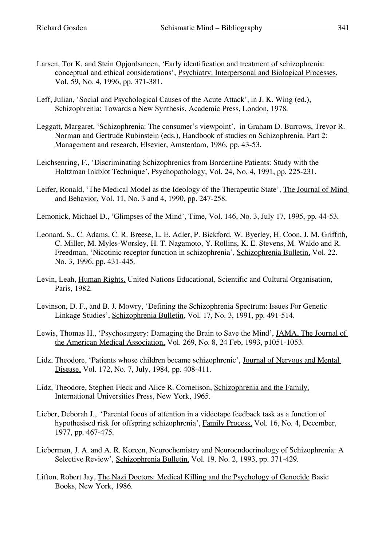- Larsen, Tor K. and Stein Opjordsmoen, 'Early identification and treatment of schizophrenia: conceptual and ethical considerations', Psychiatry: Interpersonal and Biological Processes, Vol. 59, No. 4, 1996, pp. 371-381.
- Leff, Julian, 'Social and Psychological Causes of the Acute Attack', in J. K. Wing (ed.), Schizophrenia: Towards a New Synthesis, Academic Press, London, 1978.
- Leggatt, Margaret, 'Schizophrenia: The consumer's viewpoint', in Graham D. Burrows, Trevor R. Norman and Gertrude Rubinstein (eds.), Handbook of studies on Schizophrenia. Part 2: Management and research, Elsevier, Amsterdam, 1986, pp. 43-53.
- Leichsenring, F., 'Discriminating Schizophrenics from Borderline Patients: Study with the Holtzman Inkblot Technique', Psychopathology, Vol. 24, No. 4, 1991, pp. 225-231.
- Leifer, Ronald, 'The Medical Model as the Ideology of the Therapeutic State', The Journal of Mind and Behavior, Vol. 11, No. 3 and 4, 1990, pp. 247-258.
- Lemonick, Michael D., 'Glimpses of the Mind', Time, Vol. 146, No. 3, July 17, 1995, pp. 44-53.
- Leonard, S., C. Adams, C. R. Breese, L. E. Adler, P. Bickford, W. Byerley, H. Coon, J. M. Griffith, C. Miller, M. Myles-Worsley, H. T. Nagamoto, Y. Rollins, K. E. Stevens, M. Waldo and R. Freedman, 'Nicotinic receptor function in schizophrenia', Schizophrenia Bulletin, Vol. 22. No. 3, 1996, pp. 431-445.
- Levin, Leah, Human Rights, United Nations Educational, Scientific and Cultural Organisation, Paris, 1982.
- Levinson, D. F., and B. J. Mowry, 'Defining the Schizophrenia Spectrum: Issues For Genetic Linkage Studies', Schizophrenia Bulletin, Vol. 17, No. 3, 1991, pp. 491-514.
- Lewis, Thomas H., 'Psychosurgery: Damaging the Brain to Save the Mind', JAMA, The Journal of the American Medical Association, Vol. 269, No. 8, 24 Feb, 1993, p1051-1053.
- Lidz, Theodore, 'Patients whose children became schizophrenic', Journal of Nervous and Mental Disease, Vol. 172, No. 7, July, 1984, pp. 408-411.
- Lidz, Theodore, Stephen Fleck and Alice R. Cornelison, Schizophrenia and the Family, International Universities Press, New York, 1965.
- Lieber, Deborah J., 'Parental focus of attention in a videotape feedback task as a function of hypothesised risk for offspring schizophrenia', Family Process, Vol. 16, No. 4, December, 1977, pp. 467-475.
- Lieberman, J. A. and A. R. Koreen, Neurochemistry and Neuroendocrinology of Schizophrenia: A Selective Review', Schizophrenia Bulletin, Vol. 19. No. 2, 1993, pp. 371-429.
- Lifton, Robert Jay, The Nazi Doctors: Medical Killing and the Psychology of Genocide Basic Books, New York, 1986.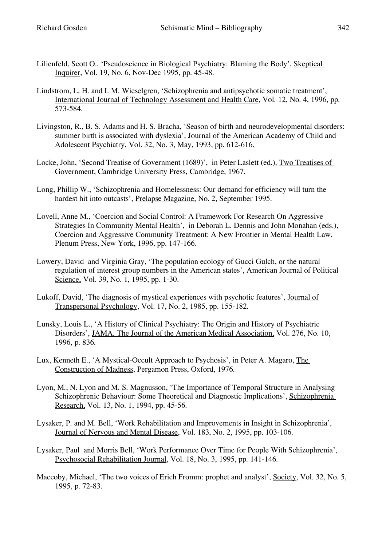- Lilienfeld, Scott O., 'Pseudoscience in Biological Psychiatry: Blaming the Body', Skeptical Inquirer, Vol. 19, No. 6, Nov-Dec 1995, pp. 45-48.
- Lindstrom, L. H. and I. M. Wieselgren, 'Schizophrenia and antipsychotic somatic treatment', International Journal of Technology Assessment and Health Care, Vol. 12, No. 4, 1996, pp. 573-584.
- Livingston, R., B. S. Adams and H. S. Bracha, 'Season of birth and neurodevelopmental disorders: summer birth is associated with dyslexia', Journal of the American Academy of Child and Adolescent Psychiatry, Vol. 32, No. 3, May, 1993, pp. 612-616.
- Locke, John, 'Second Treatise of Government (1689)', in Peter Laslett (ed.), Two Treatises of Government, Cambridge University Press, Cambridge, 1967.
- Long, Phillip W., 'Schizophrenia and Homelessness: Our demand for efficiency will turn the hardest hit into outcasts', Prelapse Magazine, No. 2, September 1995.
- Lovell, Anne M., 'Coercion and Social Control: A Framework For Research On Aggressive Strategies In Community Mental Health', in Deborah L. Dennis and John Monahan (eds.), Coercion and Aggressive Community Treatment: A New Frontier in Mental Health Law, Plenum Press, New York, 1996, pp. 147-166.
- Lowery, David and Virginia Gray, 'The population ecology of Gucci Gulch, or the natural regulation of interest group numbers in the American states', American Journal of Political Science, Vol. 39, No. 1, 1995, pp. 1-30.
- Lukoff, David, 'The diagnosis of mystical experiences with psychotic features', Journal of Transpersonal Psychology, Vol. 17, No. 2, 1985, pp. 155-182.
- Lunsky, Louis L., 'A History of Clinical Psychiatry: The Origin and History of Psychiatric Disorders', JAMA, The Journal of the American Medical Association, Vol. 276, No. 10, 1996, p. 836.
- Lux, Kenneth E., 'A Mystical-Occult Approach to Psychosis', in Peter A. Magaro, The Construction of Madness, Pergamon Press, Oxford, 1976.
- Lyon, M., N. Lyon and M. S. Magnusson, 'The Importance of Temporal Structure in Analysing Schizophrenic Behaviour: Some Theoretical and Diagnostic Implications', Schizophrenia Research, Vol. 13, No. 1, 1994, pp. 45-56.
- Lysaker, P. and M. Bell, 'Work Rehabilitation and Improvements in Insight in Schizophrenia', Journal of Nervous and Mental Disease, Vol. 183, No. 2, 1995, pp. 103-106.
- Lysaker, Paul and Morris Bell, 'Work Performance Over Time for People With Schizophrenia', Psychosocial Rehabilitation Journal, Vol. 18, No. 3, 1995, pp. 141-146.
- Maccoby, Michael, 'The two voices of Erich Fromm: prophet and analyst', Society, Vol. 32, No. 5, 1995, p. 72-83.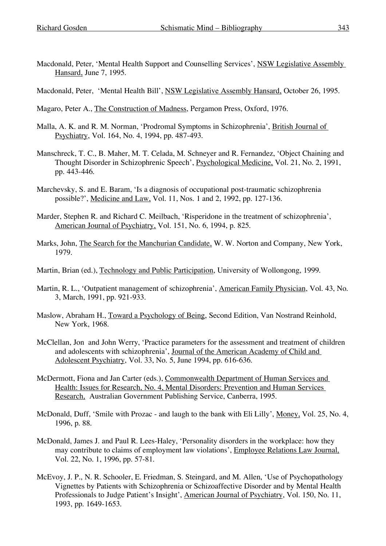Macdonald, Peter, 'Mental Health Support and Counselling Services', NSW Legislative Assembly Hansard, June 7, 1995.

Macdonald, Peter, 'Mental Health Bill', NSW Legislative Assembly Hansard, October 26, 1995.

Magaro, Peter A., The Construction of Madness, Pergamon Press, Oxford, 1976.

- Malla, A. K. and R. M. Norman, 'Prodromal Symptoms in Schizophrenia', British Journal of Psychiatry, Vol. 164, No. 4, 1994, pp. 487-493.
- Manschreck, T. C., B. Maher, M. T. Celada, M. Schneyer and R. Fernandez, 'Object Chaining and Thought Disorder in Schizophrenic Speech', Psychological Medicine, Vol. 21, No. 2, 1991, pp. 443-446.
- Marchevsky, S. and E. Baram, 'Is a diagnosis of occupational post-traumatic schizophrenia possible?', Medicine and Law, Vol. 11, Nos. 1 and 2, 1992, pp. 127-136.
- Marder, Stephen R. and Richard C. Meilbach, 'Risperidone in the treatment of schizophrenia', American Journal of Psychiatry, Vol. 151, No. 6, 1994, p. 825.
- Marks, John, The Search for the Manchurian Candidate, W. W. Norton and Company, New York, 1979.
- Martin, Brian (ed.), Technology and Public Participation, University of Wollongong, 1999.
- Martin, R. L., 'Outpatient management of schizophrenia', American Family Physician, Vol. 43, No. 3, March, 1991, pp. 921-933.
- Maslow, Abraham H., Toward a Psychology of Being, Second Edition, Van Nostrand Reinhold, New York, 1968.
- McClellan, Jon and John Werry, 'Practice parameters for the assessment and treatment of children and adolescents with schizophrenia', Journal of the American Academy of Child and Adolescent Psychiatry, Vol. 33, No. 5, June 1994, pp. 616-636.
- McDermott, Fiona and Jan Carter (eds.), Commonwealth Department of Human Services and Health: Issues for Research, No. 4, Mental Disorders: Prevention and Human Services Research, Australian Government Publishing Service, Canberra, 1995.
- McDonald, Duff, 'Smile with Prozac and laugh to the bank with Eli Lilly', Money, Vol. 25, No. 4, 1996, p. 88.
- McDonald, James J. and Paul R. Lees-Haley, 'Personality disorders in the workplace: how they may contribute to claims of employment law violations', Employee Relations Law Journal, Vol. 22, No. 1, 1996, pp. 57-81.
- McEvoy, J. P., N. R. Schooler, E. Friedman, S. Steingard, and M. Allen, 'Use of Psychopathology Vignettes by Patients with Schizophrenia or Schizoaffective Disorder and by Mental Health Professionals to Judge Patient's Insight', American Journal of Psychiatry, Vol. 150, No. 11, 1993, pp. 1649-1653.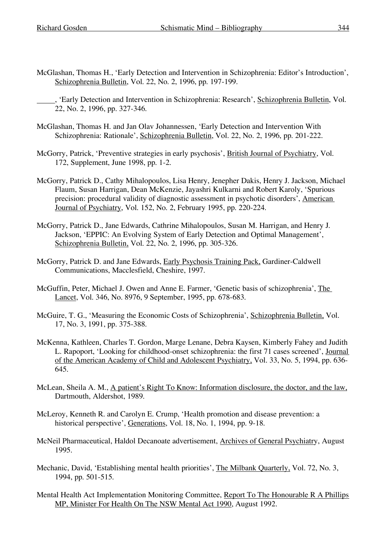- McGlashan, Thomas H., 'Early Detection and Intervention in Schizophrenia: Editor's Introduction', Schizophrenia Bulletin, Vol. 22, No. 2, 1996, pp. 197-199.
	- , 'Early Detection and Intervention in Schizophrenia: Research', Schizophrenia Bulletin, Vol. 22, No. 2, 1996, pp. 327-346.
- McGlashan, Thomas H. and Jan Olav Johannessen, 'Early Detection and Intervention With Schizophrenia: Rationale', Schizophrenia Bulletin, Vol. 22, No. 2, 1996, pp. 201-222.
- McGorry, Patrick, 'Preventive strategies in early psychosis', British Journal of Psychiatry, Vol. 172, Supplement, June 1998, pp. 1-2.
- McGorry, Patrick D., Cathy Mihalopoulos, Lisa Henry, Jenepher Dakis, Henry J. Jackson, Michael Flaum, Susan Harrigan, Dean McKenzie, Jayashri Kulkarni and Robert Karoly, 'Spurious precision: procedural validity of diagnostic assessment in psychotic disorders', American Journal of Psychiatry, Vol. 152, No. 2, February 1995, pp. 220-224.
- McGorry, Patrick D., Jane Edwards, Cathrine Mihalopoulos, Susan M. Harrigan, and Henry J. Jackson, 'EPPIC: An Evolving System of Early Detection and Optimal Management', Schizophrenia Bulletin, Vol. 22, No. 2, 1996, pp. 305-326.
- McGorry, Patrick D. and Jane Edwards, Early Psychosis Training Pack, Gardiner-Caldwell Communications, Macclesfield, Cheshire, 1997.
- McGuffin, Peter, Michael J. Owen and Anne E. Farmer, 'Genetic basis of schizophrenia', The Lancet, Vol. 346, No. 8976, 9 September, 1995, pp. 678-683.
- McGuire, T. G., 'Measuring the Economic Costs of Schizophrenia', Schizophrenia Bulletin, Vol. 17, No. 3, 1991, pp. 375-388.
- McKenna, Kathleen, Charles T. Gordon, Marge Lenane, Debra Kaysen, Kimberly Fahey and Judith L. Rapoport, 'Looking for childhood-onset schizophrenia: the first 71 cases screened', Journal of the American Academy of Child and Adolescent Psychiatry, Vol. 33, No. 5, 1994, pp. 636- 645.
- McLean, Sheila A. M., A patient's Right To Know: Information disclosure, the doctor, and the law, Dartmouth, Aldershot, 1989.
- McLeroy, Kenneth R. and Carolyn E. Crump, 'Health promotion and disease prevention: a historical perspective', Generations, Vol. 18, No. 1, 1994, pp. 9-18.
- McNeil Pharmaceutical, Haldol Decanoate advertisement, Archives of General Psychiatry, August 1995.
- Mechanic, David, 'Establishing mental health priorities', The Milbank Quarterly, Vol. 72, No. 3, 1994, pp. 501-515.
- Mental Health Act Implementation Monitoring Committee, Report To The Honourable R A Phillips MP, Minister For Health On The NSW Mental Act 1990, August 1992.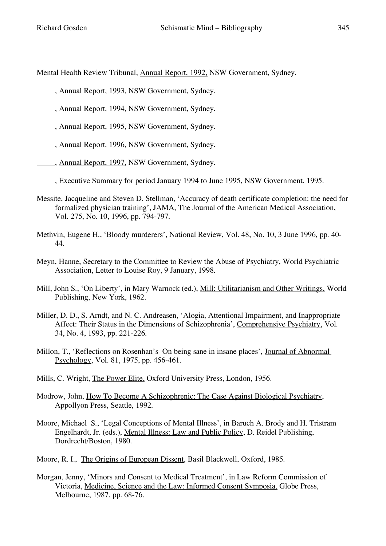Mental Health Review Tribunal, Annual Report, 1992, NSW Government, Sydney.

- , Annual Report, 1993, NSW Government, Sydney.
- , Annual Report, 1994, NSW Government, Sydney.
- , Annual Report, 1995, NSW Government, Sydney.
- , Annual Report, 1996, NSW Government, Sydney.
- ..., Annual Report, 1997, NSW Government, Sydney.
- , Executive Summary for period January 1994 to June 1995, NSW Government, 1995.
- Messite, Jacqueline and Steven D. Stellman, 'Accuracy of death certificate completion: the need for formalized physician training', JAMA, The Journal of the American Medical Association, Vol. 275, No. 10, 1996, pp. 794-797.
- Methvin, Eugene H., 'Bloody murderers', National Review, Vol. 48, No. 10, 3 June 1996, pp. 40- 44.
- Meyn, Hanne, Secretary to the Committee to Review the Abuse of Psychiatry, World Psychiatric Association, Letter to Louise Roy, 9 January, 1998.
- Mill, John S., 'On Liberty', in Mary Warnock (ed.), Mill: Utilitarianism and Other Writings, World Publishing, New York, 1962.
- Miller, D. D., S. Arndt, and N. C. Andreasen, 'Alogia, Attentional Impairment, and Inappropriate Affect: Their Status in the Dimensions of Schizophrenia', Comprehensive Psychiatry, Vol. 34, No. 4, 1993, pp. 221-226.
- Millon, T., 'Reflections on Rosenhan's On being sane in insane places', Journal of Abnormal Psychology, Vol. 81, 1975, pp. 456-461.
- Mills, C. Wright, The Power Elite, Oxford University Press, London, 1956.
- Modrow, John, How To Become A Schizophrenic: The Case Against Biological Psychiatry, Appollyon Press, Seattle, 1992.
- Moore, Michael S., 'Legal Conceptions of Mental Illness', in Baruch A. Brody and H. Tristram Engelhardt, Jr. (eds.), Mental Illness: Law and Public Policy, D. Reidel Publishing, Dordrecht/Boston, 1980.
- Moore, R. I., The Origins of European Dissent, Basil Blackwell, Oxford, 1985.
- Morgan, Jenny, 'Minors and Consent to Medical Treatment', in Law Reform Commission of Victoria, Medicine, Science and the Law: Informed Consent Symposia, Globe Press, Melbourne, 1987, pp. 68-76.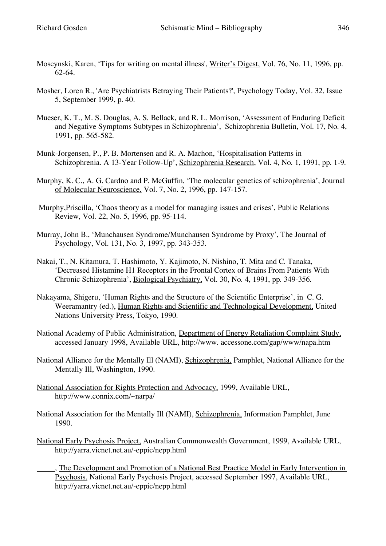- Moscynski, Karen, 'Tips for writing on mental illness', Writer's Digest, Vol. 76, No. 11, 1996, pp. 62-64.
- Mosher, Loren R., 'Are Psychiatrists Betraying Their Patients?', Psychology Today, Vol. 32, Issue 5, September 1999, p. 40.
- Mueser, K. T., M. S. Douglas, A. S. Bellack, and R. L. Morrison, 'Assessment of Enduring Deficit and Negative Symptoms Subtypes in Schizophrenia', Schizophrenia Bulletin, Vol. 17, No. 4, 1991, pp. 565-582.
- Munk-Jorgensen, P., P. B. Mortensen and R. A. Machon, 'Hospitalisation Patterns in Schizophrenia. A 13-Year Follow-Up', Schizophrenia Research, Vol. 4, No. 1, 1991, pp. 1-9.
- Murphy, K. C., A. G. Cardno and P. McGuffin, 'The molecular genetics of schizophrenia', Journal of Molecular Neuroscience, Vol. 7, No. 2, 1996, pp. 147-157.
- Murphy,Priscilla, 'Chaos theory as a model for managing issues and crises', Public Relations Review, Vol. 22, No. 5, 1996, pp. 95-114.
- Murray, John B., 'Munchausen Syndrome/Munchausen Syndrome by Proxy', The Journal of Psychology, Vol. 131, No. 3, 1997, pp. 343-353.
- Nakai, T., N. Kitamura, T. Hashimoto, Y. Kajimoto, N. Nishino, T. Mita and C. Tanaka, 'Decreased Histamine H1 Receptors in the Frontal Cortex of Brains From Patients With Chronic Schizophrenia', Biological Psychiatry, Vol. 30, No. 4, 1991, pp. 349-356.
- Nakayama, Shigeru, 'Human Rights and the Structure of the Scientific Enterprise', in C. G. Weeramantry (ed.), Human Rights and Scientific and Technological Development, United Nations University Press, Tokyo, 1990.
- National Academy of Public Administration, Department of Energy Retaliation Complaint Study, accessed January 1998, Available URL, http://www. accessone.com/gap/www/napa.htm
- National Alliance for the Mentally Ill (NAMI), Schizophrenia, Pamphlet, National Alliance for the Mentally Ill, Washington, 1990.
- National Association for Rights Protection and Advocacy, 1999, Available URL, http://www.connix.com/~narpa/
- National Association for the Mentally Ill (NAMI), Schizophrenia, Information Pamphlet, June 1990.
- National Early Psychosis Project, Australian Commonwealth Government, 1999, Available URL, http://yarra.vicnet.net.au/-eppic/nepp.html
- , The Development and Promotion of a National Best Practice Model in Early Intervention in Psychosis, National Early Psychosis Project, accessed September 1997, Available URL, http://yarra.vicnet.net.au/-eppic/nepp.html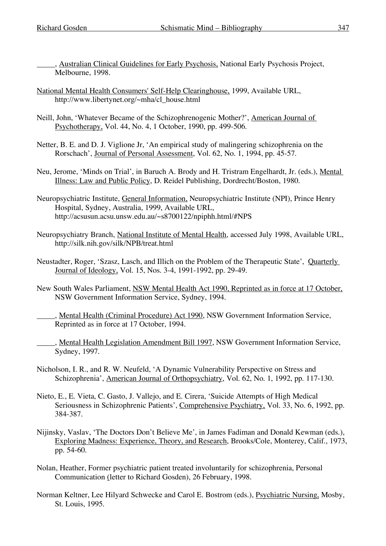- National Mental Health Consumers' Self-Help Clearinghouse, 1999, Available URL, http://www.libertynet.org/~mha/cl\_house.html
- Neill, John, 'Whatever Became of the Schizophrenogenic Mother?', American Journal of Psychotherapy, Vol. 44, No. 4, 1 October, 1990, pp. 499-506.
- Netter, B. E. and D. J. Viglione Jr, 'An empirical study of malingering schizophrenia on the Rorschach', Journal of Personal Assessment, Vol. 62, No. 1, 1994, pp. 45-57.
- Neu, Jerome, 'Minds on Trial', in Baruch A. Brody and H. Tristram Engelhardt, Jr. (eds.), Mental Illness: Law and Public Policy, D. Reidel Publishing, Dordrecht/Boston, 1980.
- Neuropsychiatric Institute, General Information, Neuropsychiatric Institute (NPI), Prince Henry Hospital, Sydney, Australia, 1999, Available URL, http://acsusun.acsu.unsw.edu.au/~s8700122/npiphh.html/#NPS
- Neuropsychiatry Branch, National Institute of Mental Health, accessed July 1998, Available URL, http://silk.nih.gov/silk/NPB/treat.html
- Neustadter, Roger, 'Szasz, Lasch, and Illich on the Problem of the Therapeutic State', Quarterly Journal of Ideology, Vol. 15, Nos. 3-4, 1991-1992, pp. 29-49.
- New South Wales Parliament, NSW Mental Health Act 1990, Reprinted as in force at 17 October, NSW Government Information Service, Sydney, 1994.
	- , Mental Health (Criminal Procedure) Act 1990, NSW Government Information Service, Reprinted as in force at 17 October, 1994.
	- , Mental Health Legislation Amendment Bill 1997, NSW Government Information Service, Sydney, 1997.
- Nicholson, I. R., and R. W. Neufeld, 'A Dynamic Vulnerability Perspective on Stress and Schizophrenia', American Journal of Orthopsychiatry, Vol. 62, No. 1, 1992, pp. 117-130.
- Nieto, E., E. Vieta, C. Gasto, J. Vallejo, and E. Cirera, 'Suicide Attempts of High Medical Seriousness in Schizophrenic Patients', Comprehensive Psychiatry, Vol. 33, No. 6, 1992, pp. 384-387.
- Nijinsky, Vaslav, 'The Doctors Don't Believe Me', in James Fadiman and Donald Kewman (eds.), Exploring Madness: Experience, Theory, and Research, Brooks/Cole, Monterey, Calif., 1973, pp. 54-60.
- Nolan, Heather, Former psychiatric patient treated involuntarily for schizophrenia, Personal Communication (letter to Richard Gosden), 26 February, 1998.
- Norman Keltner, Lee Hilyard Schwecke and Carol E. Bostrom (eds.), Psychiatric Nursing, Mosby, St. Louis, 1995.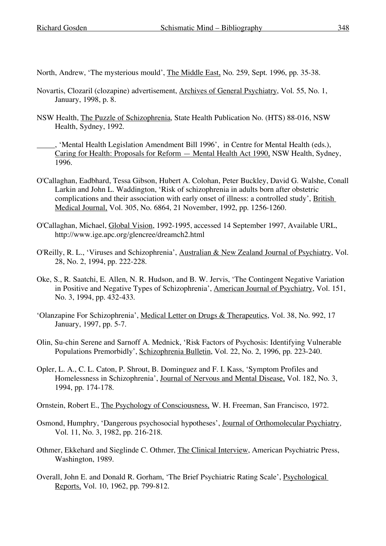North, Andrew, 'The mysterious mould', The Middle East, No. 259, Sept. 1996, pp. 35-38.

- Novartis, Clozaril (clozapine) advertisement, Archives of General Psychiatry, Vol. 55, No. 1, January, 1998, p. 8.
- NSW Health, The Puzzle of Schizophrenia, State Health Publication No. (HTS) 88-016, NSW Health, Sydney, 1992.
	- , 'Mental Health Legislation Amendment Bill 1996', in Centre for Mental Health (eds.), Caring for Health: Proposals for Reform — Mental Health Act 1990, NSW Health, Sydney, 1996.
- O'Callaghan, Eadbhard, Tessa Gibson, Hubert A. Colohan, Peter Buckley, David G. Walshe, Conall Larkin and John L. Waddington, 'Risk of schizophrenia in adults born after obstetric complications and their association with early onset of illness: a controlled study', British Medical Journal, Vol. 305, No. 6864, 21 November, 1992, pp. 1256-1260.
- O'Callaghan, Michael, Global Vision, 1992-1995, accessed 14 September 1997, Available URL, http://www.ige.apc.org/glencree/dreamch2.html
- O'Reilly, R. L., 'Viruses and Schizophrenia', Australian & New Zealand Journal of Psychiatry, Vol. 28, No. 2, 1994, pp. 222-228.
- Oke, S., R. Saatchi, E. Allen, N. R. Hudson, and B. W. Jervis, 'The Contingent Negative Variation in Positive and Negative Types of Schizophrenia', American Journal of Psychiatry, Vol. 151, No. 3, 1994, pp. 432-433.
- 'Olanzapine For Schizophrenia', Medical Letter on Drugs & Therapeutics, Vol. 38, No. 992, 17 January, 1997, pp. 5-7.
- Olin, Su-chin Serene and Sarnoff A. Mednick, 'Risk Factors of Psychosis: Identifying Vulnerable Populations Premorbidly', Schizophrenia Bulletin, Vol. 22, No. 2, 1996, pp. 223-240.
- Opler, L. A., C. L. Caton, P. Shrout, B. Dominguez and F. I. Kass, 'Symptom Profiles and Homelessness in Schizophrenia', Journal of Nervous and Mental Disease, Vol. 182, No. 3, 1994, pp. 174-178.
- Ornstein, Robert E., The Psychology of Consciousness, W. H. Freeman, San Francisco, 1972.
- Osmond, Humphry, 'Dangerous psychosocial hypotheses', Journal of Orthomolecular Psychiatry, Vol. 11, No. 3, 1982, pp. 216-218.
- Othmer, Ekkehard and Sieglinde C. Othmer, The Clinical Interview, American Psychiatric Press, Washington, 1989.
- Overall, John E. and Donald R. Gorham, 'The Brief Psychiatric Rating Scale', Psychological Reports, Vol. 10, 1962, pp. 799-812.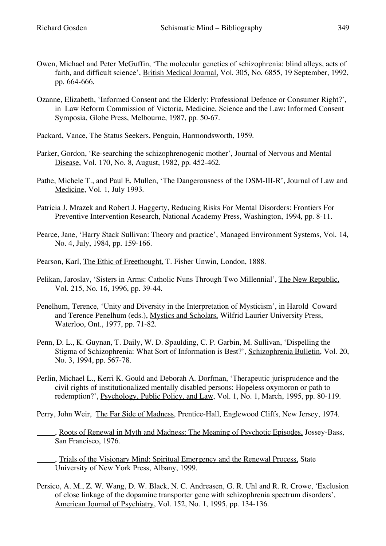- Owen, Michael and Peter McGuffin, 'The molecular genetics of schizophrenia: blind alleys, acts of faith, and difficult science', British Medical Journal, Vol. 305, No. 6855, 19 September, 1992, pp. 664-666.
- Ozanne, Elizabeth, 'Informed Consent and the Elderly: Professional Defence or Consumer Right?', in Law Reform Commission of Victoria, Medicine, Science and the Law: Informed Consent Symposia, Globe Press, Melbourne, 1987, pp. 50-67.
- Packard, Vance, The Status Seekers, Penguin, Harmondsworth, 1959.
- Parker, Gordon, 'Re-searching the schizophrenogenic mother', Journal of Nervous and Mental Disease, Vol. 170, No. 8, August, 1982, pp. 452-462.
- Pathe, Michele T., and Paul E. Mullen, 'The Dangerousness of the DSM-III-R', Journal of Law and Medicine, Vol. 1, July 1993.
- Patricia J. Mrazek and Robert J. Haggerty, Reducing Risks For Mental Disorders: Frontiers For Preventive Intervention Research, National Academy Press, Washington, 1994, pp. 8-11.
- Pearce, Jane, 'Harry Stack Sullivan: Theory and practice', Managed Environment Systems, Vol. 14, No. 4, July, 1984, pp. 159-166.
- Pearson, Karl, The Ethic of Freethought, T. Fisher Unwin, London, 1888.
- Pelikan, Jaroslav, 'Sisters in Arms: Catholic Nuns Through Two Millennial', The New Republic, Vol. 215, No. 16, 1996, pp. 39-44.
- Penelhum, Terence, 'Unity and Diversity in the Interpretation of Mysticism', in Harold Coward and Terence Penelhum (eds.), Mystics and Scholars, Wilfrid Laurier University Press, Waterloo, Ont., 1977, pp. 71-82.
- Penn, D. L., K. Guynan, T. Daily, W. D. Spaulding, C. P. Garbin, M. Sullivan, 'Dispelling the Stigma of Schizophrenia: What Sort of Information is Best?', Schizophrenia Bulletin, Vol. 20, No. 3, 1994, pp. 567-78.
- Perlin, Michael L., Kerri K. Gould and Deborah A. Dorfman, 'Therapeutic jurisprudence and the civil rights of institutionalized mentally disabled persons: Hopeless oxymoron or path to redemption?', Psychology, Public Policy, and Law, Vol. 1, No. 1, March, 1995, pp. 80-119.
- Perry, John Weir, The Far Side of Madness, Prentice-Hall, Englewood Cliffs, New Jersey, 1974.
	- , Roots of Renewal in Myth and Madness: The Meaning of Psychotic Episodes, Jossey-Bass, San Francisco, 1976.
		- , Trials of the Visionary Mind: Spiritual Emergency and the Renewal Process, State University of New York Press, Albany, 1999.
- Persico, A. M., Z. W. Wang, D. W. Black, N. C. Andreasen, G. R. Uhl and R. R. Crowe, 'Exclusion of close linkage of the dopamine transporter gene with schizophrenia spectrum disorders', American Journal of Psychiatry, Vol. 152, No. 1, 1995, pp. 134-136.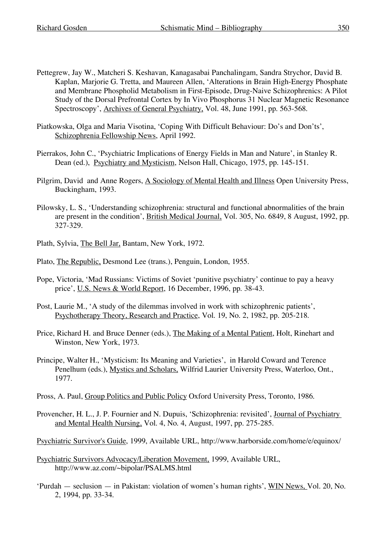- Pettegrew, Jay W., Matcheri S. Keshavan, Kanagasabai Panchalingam, Sandra Strychor, David B. Kaplan, Marjorie G. Tretta, and Maureen Allen, 'Alterations in Brain High-Energy Phosphate and Membrane Phospholid Metabolism in First-Episode, Drug-Naive Schizophrenics: A Pilot Study of the Dorsal Prefrontal Cortex by In Vivo Phosphorus 31 Nuclear Magnetic Resonance Spectroscopy', Archives of General Psychiatry, Vol. 48, June 1991, pp. 563-568.
- Piatkowska, Olga and Maria Visotina, 'Coping With Difficult Behaviour: Do's and Don'ts', Schizophrenia Fellowship News, April 1992.
- Pierrakos, John C., 'Psychiatric Implications of Energy Fields in Man and Nature', in Stanley R. Dean (ed.), Psychiatry and Mysticism, Nelson Hall, Chicago, 1975, pp. 145-151.
- Pilgrim, David and Anne Rogers, A Sociology of Mental Health and Illness Open University Press, Buckingham, 1993.
- Pilowsky, L. S., 'Understanding schizophrenia: structural and functional abnormalities of the brain are present in the condition', British Medical Journal, Vol. 305, No. 6849, 8 August, 1992, pp. 327-329.
- Plath, Sylvia, The Bell Jar, Bantam, New York, 1972.
- Plato, The Republic, Desmond Lee (trans.), Penguin, London, 1955.
- Pope, Victoria, 'Mad Russians: Victims of Soviet 'punitive psychiatry' continue to pay a heavy price', U.S. News & World Report, 16 December, 1996, pp. 38-43.
- Post, Laurie M., 'A study of the dilemmas involved in work with schizophrenic patients', Psychotherapy Theory, Research and Practice, Vol. 19, No. 2, 1982, pp. 205-218.
- Price, Richard H. and Bruce Denner (eds.), The Making of a Mental Patient, Holt, Rinehart and Winston, New York, 1973.
- Principe, Walter H., 'Mysticism: Its Meaning and Varieties', in Harold Coward and Terence Penelhum (eds.), Mystics and Scholars, Wilfrid Laurier University Press, Waterloo, Ont., 1977.
- Pross, A. Paul, Group Politics and Public Policy Oxford University Press, Toronto, 1986.
- Provencher, H. L., J. P. Fournier and N. Dupuis, 'Schizophrenia: revisited', Journal of Psychiatry and Mental Health Nursing, Vol. 4, No. 4, August, 1997, pp. 275-285.
- Psychiatric Survivor's Guide, 1999, Available URL, http://www.harborside.com/home/e/equinox/
- Psychiatric Survivors Advocacy/Liberation Movement, 1999, Available URL, http://www.az.com/~bipolar/PSALMS.html
- 'Purdah seclusion in Pakistan: violation of women's human rights', WIN News, Vol. 20, No. 2, 1994, pp. 33-34.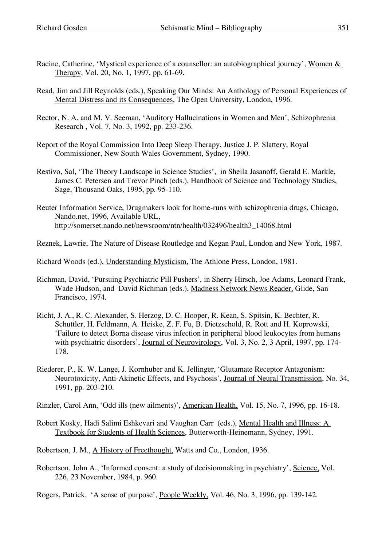- Racine, Catherine, 'Mystical experience of a counsellor: an autobiographical journey', Women & Therapy, Vol. 20, No. 1, 1997, pp. 61-69.
- Read, Jim and Jill Reynolds (eds.), Speaking Our Minds: An Anthology of Personal Experiences of Mental Distress and its Consequences, The Open University, London, 1996.
- Rector, N. A. and M. V. Seeman, 'Auditory Hallucinations in Women and Men', Schizophrenia Research , Vol. 7, No. 3, 1992, pp. 233-236.
- Report of the Royal Commission Into Deep Sleep Therapy, Justice J. P. Slattery, Royal Commissioner, New South Wales Government, Sydney, 1990.
- Restivo, Sal, 'The Theory Landscape in Science Studies', in Sheila Jasanoff, Gerald E. Markle, James C. Petersen and Trevor Pinch (eds.), Handbook of Science and Technology Studies, Sage, Thousand Oaks, 1995, pp. 95-110.
- Reuter Information Service, Drugmakers look for home-runs with schizophrenia drugs, Chicago, Nando.net, 1996, Available URL, http://somerset.nando.net/newsroom/ntn/health/032496/health3\_14068.html
- Reznek, Lawrie, The Nature of Disease Routledge and Kegan Paul, London and New York, 1987.
- Richard Woods (ed.), Understanding Mysticism, The Athlone Press, London, 1981.
- Richman, David, 'Pursuing Psychiatric Pill Pushers', in Sherry Hirsch, Joe Adams, Leonard Frank, Wade Hudson, and David Richman (eds.), Madness Network News Reader, Glide, San Francisco, 1974.
- Richt, J. A., R. C. Alexander, S. Herzog, D. C. Hooper, R. Kean, S. Spitsin, K. Bechter, R. Schuttler, H. Feldmann, A. Heiske, Z. F. Fu, B. Dietzschold, R. Rott and H. Koprowski, 'Failure to detect Borna disease virus infection in peripheral blood leukocytes from humans with psychiatric disorders', Journal of Neurovirology, Vol. 3, No. 2, 3 April, 1997, pp. 174- 178.
- Riederer, P., K. W. Lange, J. Kornhuber and K. Jellinger, 'Glutamate Receptor Antagonism: Neurotoxicity, Anti-Akinetic Effects, and Psychosis', Journal of Neural Transmission, No. 34, 1991, pp. 203-210.
- Rinzler, Carol Ann, 'Odd ills (new ailments)', American Health, Vol. 15, No. 7, 1996, pp. 16-18.
- Robert Kosky, Hadi Salimi Eshkevari and Vaughan Carr (eds.), Mental Health and Illness: A Textbook for Students of Health Sciences, Butterworth-Heinemann, Sydney, 1991.
- Robertson, J. M., A History of Freethought, Watts and Co., London, 1936.
- Robertson, John A., 'Informed consent: a study of decisionmaking in psychiatry', Science, Vol. 226, 23 November, 1984, p. 960.

Rogers, Patrick, 'A sense of purpose', People Weekly, Vol. 46, No. 3, 1996, pp. 139-142.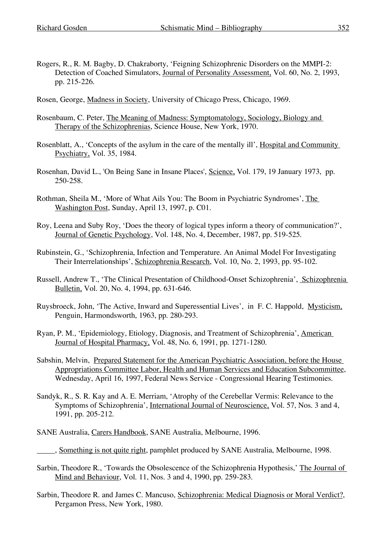- Rogers, R., R. M. Bagby, D. Chakraborty, 'Feigning Schizophrenic Disorders on the MMPI-2: Detection of Coached Simulators, Journal of Personality Assessment, Vol. 60, No. 2, 1993, pp. 215-226.
- Rosen, George, Madness in Society, University of Chicago Press, Chicago, 1969.
- Rosenbaum, C. Peter, The Meaning of Madness: Symptomatology, Sociology, Biology and Therapy of the Schizophrenias, Science House, New York, 1970.
- Rosenblatt, A., 'Concepts of the asylum in the care of the mentally ill', Hospital and Community Psychiatry, Vol. 35, 1984.
- Rosenhan, David L., 'On Being Sane in Insane Places', Science, Vol. 179, 19 January 1973, pp. 250-258.
- Rothman, Sheila M., 'More of What Ails You: The Boom in Psychiatric Syndromes', The Washington Post, Sunday, April 13, 1997, p. C01.
- Roy, Leena and Suby Roy, 'Does the theory of logical types inform a theory of communication?', Journal of Genetic Psychology, Vol. 148, No. 4, December, 1987, pp. 519-525.
- Rubinstein, G., 'Schizophrenia, Infection and Temperature. An Animal Model For Investigating Their Interrelationships', Schizophrenia Research, Vol. 10, No. 2, 1993, pp. 95-102.
- Russell, Andrew T., 'The Clinical Presentation of Childhood-Onset Schizophrenia', Schizophrenia Bulletin, Vol. 20, No. 4, 1994, pp. 631-646.
- Ruysbroeck, John, 'The Active, Inward and Superessential Lives', in F. C. Happold, Mysticism, Penguin, Harmondsworth, 1963, pp. 280-293.
- Ryan, P. M., 'Epidemiology, Etiology, Diagnosis, and Treatment of Schizophrenia', American Journal of Hospital Pharmacy, Vol. 48, No. 6, 1991, pp. 1271-1280.
- Sabshin, Melvin, Prepared Statement for the American Psychiatric Association, before the House Appropriations Committee Labor, Health and Human Services and Education Subcommittee, Wednesday, April 16, 1997, Federal News Service - Congressional Hearing Testimonies.
- Sandyk, R., S. R. Kay and A. E. Merriam, 'Atrophy of the Cerebellar Vermis: Relevance to the Symptoms of Schizophrenia', International Journal of Neuroscience, Vol. 57, Nos. 3 and 4, 1991, pp. 205-212.
- SANE Australia, Carers Handbook, SANE Australia, Melbourne, 1996.
- , Something is not quite right, pamphlet produced by SANE Australia, Melbourne, 1998.
- Sarbin, Theodore R., 'Towards the Obsolescence of the Schizophrenia Hypothesis,' The Journal of Mind and Behaviour, Vol. 11, Nos. 3 and 4, 1990, pp. 259-283.
- Sarbin, Theodore R. and James C. Mancuso, Schizophrenia: Medical Diagnosis or Moral Verdict?, Pergamon Press, New York, 1980.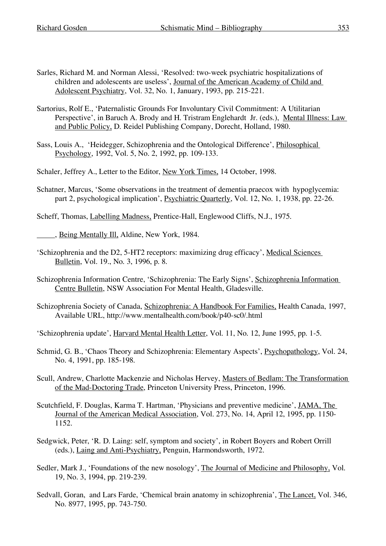- Sarles, Richard M. and Norman Alessi, 'Resolved: two-week psychiatric hospitalizations of children and adolescents are useless', Journal of the American Academy of Child and Adolescent Psychiatry, Vol. 32, No. 1, January, 1993, pp. 215-221.
- Sartorius, Rolf E., 'Paternalistic Grounds For Involuntary Civil Commitment: A Utilitarian Perspective', in Baruch A. Brody and H. Tristram Englehardt Jr. (eds.), Mental Illness: Law and Public Policy, D. Reidel Publishing Company, Dorecht, Holland, 1980.
- Sass, Louis A., 'Heidegger, Schizophrenia and the Ontological Difference', Philosophical Psychology, 1992, Vol. 5, No. 2, 1992, pp. 109-133.
- Schaler, Jeffrey A., Letter to the Editor, New York Times, 14 October, 1998.
- Schatner, Marcus, 'Some observations in the treatment of dementia praecox with hypoglycemia: part 2, psychological implication', Psychiatric Quarterly, Vol. 12, No. 1, 1938, pp. 22-26.
- Scheff, Thomas, Labelling Madness, Prentice-Hall, Englewood Cliffs, N.J., 1975.
- , Being Mentally Ill, Aldine, New York, 1984.
- 'Schizophrenia and the D2, 5-HT2 receptors: maximizing drug efficacy', Medical Sciences Bulletin, Vol. 19., No. 3, 1996, p. 8.
- Schizophrenia Information Centre, 'Schizophrenia: The Early Signs', Schizophrenia Information Centre Bulletin, NSW Association For Mental Health, Gladesville.
- Schizophrenia Society of Canada, Schizophrenia: A Handbook For Families, Health Canada, 1997, Available URL, http://www.mentalhealth.com/book/p40-sc0/.html
- 'Schizophrenia update', Harvard Mental Health Letter, Vol. 11, No. 12, June 1995, pp. 1-5.
- Schmid, G. B., 'Chaos Theory and Schizophrenia: Elementary Aspects', Psychopathology, Vol. 24, No. 4, 1991, pp. 185-198.
- Scull, Andrew, Charlotte Mackenzie and Nicholas Hervey, Masters of Bedlam: The Transformation of the Mad-Doctoring Trade, Princeton University Press, Princeton, 1996.
- Scutchfield, F. Douglas, Karma T. Hartman, 'Physicians and preventive medicine', JAMA, The Journal of the American Medical Association, Vol. 273, No. 14, April 12, 1995, pp. 1150- 1152.
- Sedgwick, Peter, 'R. D. Laing: self, symptom and society', in Robert Boyers and Robert Orrill (eds.), Laing and Anti-Psychiatry, Penguin, Harmondsworth, 1972.
- Sedler, Mark J., 'Foundations of the new nosology', The Journal of Medicine and Philosophy, Vol. 19, No. 3, 1994, pp. 219-239.
- Sedvall, Goran, and Lars Farde, 'Chemical brain anatomy in schizophrenia', The Lancet, Vol. 346, No. 8977, 1995, pp. 743-750.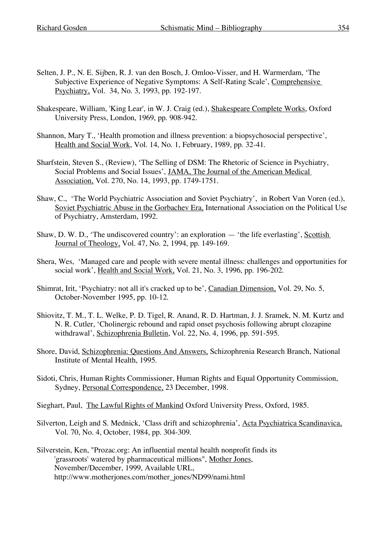- Selten, J. P., N. E. Sijben, R. J. van den Bosch, J. Omloo-Visser, and H. Warmerdam, 'The Subjective Experience of Negative Symptoms: A Self-Rating Scale', Comprehensive Psychiatry, Vol. 34, No. 3, 1993, pp. 192-197.
- Shakespeare, William, 'King Lear', in W. J. Craig (ed.), Shakespeare Complete Works, Oxford University Press, London, 1969, pp. 908-942.
- Shannon, Mary T., 'Health promotion and illness prevention: a biopsychosocial perspective', Health and Social Work, Vol. 14, No. 1, February, 1989, pp. 32-41.
- Sharfstein, Steven S., (Review), 'The Selling of DSM: The Rhetoric of Science in Psychiatry, Social Problems and Social Issues', JAMA, The Journal of the American Medical Association, Vol. 270, No. 14, 1993, pp. 1749-1751.
- Shaw, C., 'The World Psychiatric Association and Soviet Psychiatry', in Robert Van Voren (ed.), Soviet Psychiatric Abuse in the Gorbachev Era, International Association on the Political Use of Psychiatry, Amsterdam, 1992.
- Shaw, D. W. D., 'The undiscovered country': an exploration 'the life everlasting', Scottish Journal of Theology, Vol. 47, No. 2, 1994, pp. 149-169.
- Shera, Wes, 'Managed care and people with severe mental illness: challenges and opportunities for social work', Health and Social Work, Vol. 21, No. 3, 1996, pp. 196-202.
- Shimrat, Irit, 'Psychiatry: not all it's cracked up to be', Canadian Dimension, Vol. 29, No. 5, October-November 1995, pp. 10-12.
- Shiovitz, T. M., T. L. Welke, P. D. Tigel, R. Anand, R. D. Hartman, J. J. Sramek, N. M. Kurtz and N. R. Cutler, 'Cholinergic rebound and rapid onset psychosis following abrupt clozapine withdrawal', Schizophrenia Bulletin, Vol. 22, No. 4, 1996, pp. 591-595.
- Shore, David, Schizophrenia: Questions And Answers, Schizophrenia Research Branch, National Institute of Mental Health, 1995.
- Sidoti, Chris, Human Rights Commissioner, Human Rights and Equal Opportunity Commission, Sydney, Personal Correspondence, 23 December, 1998.
- Sieghart, Paul, The Lawful Rights of Mankind Oxford University Press, Oxford, 1985.
- Silverton, Leigh and S. Mednick, 'Class drift and schizophrenia', Acta Psychiatrica Scandinavica, Vol. 70, No. 4, October, 1984, pp. 304-309.
- Silverstein, Ken, "Prozac.org: An influential mental health nonprofit finds its 'grassroots' watered by pharmaceutical millions", Mother Jones, November/December, 1999, Available URL, http://www.motherjones.com/mother\_jones/ND99/nami.html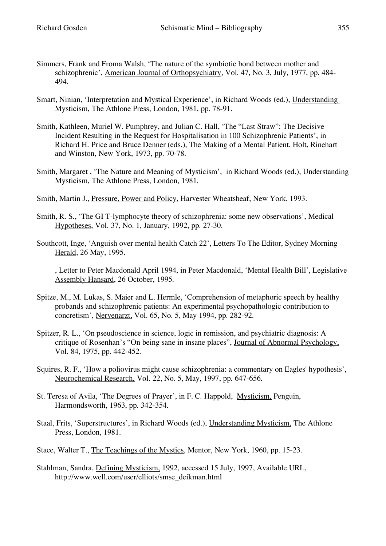- Simmers, Frank and Froma Walsh, 'The nature of the symbiotic bond between mother and schizophrenic', American Journal of Orthopsychiatry, Vol. 47, No. 3, July, 1977, pp. 484- 494.
- Smart, Ninian, 'Interpretation and Mystical Experience', in Richard Woods (ed.), Understanding Mysticism, The Athlone Press, London, 1981, pp. 78-91.
- Smith, Kathleen, Muriel W. Pumphrey, and Julian C. Hall, 'The "Last Straw": The Decisive Incident Resulting in the Request for Hospitalisation in 100 Schizophrenic Patients', in Richard H. Price and Bruce Denner (eds.), The Making of a Mental Patient, Holt, Rinehart and Winston, New York, 1973, pp. 70-78.
- Smith, Margaret , 'The Nature and Meaning of Mysticism', in Richard Woods (ed.), Understanding Mysticism, The Athlone Press, London, 1981.
- Smith, Martin J., Pressure, Power and Policy, Harvester Wheatsheaf, New York, 1993.
- Smith, R. S., 'The GI T-lymphocyte theory of schizophrenia: some new observations', Medical Hypotheses, Vol. 37, No. 1, January, 1992, pp. 27-30.
- Southcott, Inge, 'Anguish over mental health Catch 22', Letters To The Editor, Sydney Morning Herald, 26 May, 1995.
	- , Letter to Peter Macdonald April 1994, in Peter Macdonald, 'Mental Health Bill', Legislative Assembly Hansard, 26 October, 1995.
- Spitze, M., M. Lukas, S. Maier and L. Hermle, 'Comprehension of metaphoric speech by healthy probands and schizophrenic patients: An experimental psychopathologic contribution to concretism', Nervenarzt, Vol. 65, No. 5, May 1994, pp. 282-92.
- Spitzer, R. L., 'On pseudoscience in science, logic in remission, and psychiatric diagnosis: A critique of Rosenhan's "On being sane in insane places", Journal of Abnormal Psychology, Vol. 84, 1975, pp. 442-452.
- Squires, R. F., 'How a poliovirus might cause schizophrenia: a commentary on Eagles' hypothesis', Neurochemical Research, Vol. 22, No. 5, May, 1997, pp. 647-656.
- St. Teresa of Avila, 'The Degrees of Prayer', in F. C. Happold, Mysticism, Penguin, Harmondsworth, 1963, pp. 342-354.
- Staal, Frits, 'Superstructures', in Richard Woods (ed.), Understanding Mysticism, The Athlone Press, London, 1981.
- Stace, Walter T., The Teachings of the Mystics, Mentor, New York, 1960, pp. 15-23.
- Stahlman, Sandra, Defining Mysticism, 1992, accessed 15 July, 1997, Available URL, http://www.well.com/user/elliots/smse\_deikman.html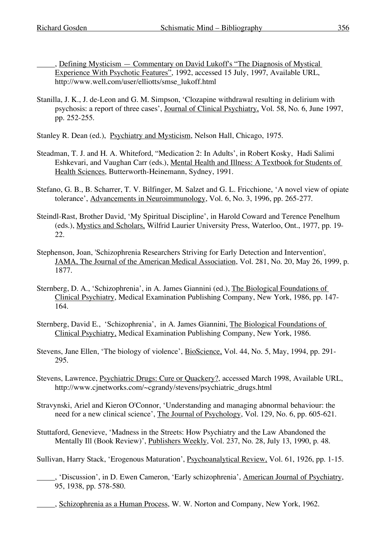, Defining Mysticism — Commentary on David Lukoff's "The Diagnosis of Mystical Experience With Psychotic Features", 1992, accessed 15 July, 1997, Available URL, http://www.well.com/user/elliotts/smse\_lukoff.html

Stanilla, J. K., J. de-Leon and G. M. Simpson, 'Clozapine withdrawal resulting in delirium with psychosis: a report of three cases', Journal of Clinical Psychiatry, Vol. 58, No. 6, June 1997, pp. 252-255.

Stanley R. Dean (ed.), Psychiatry and Mysticism, Nelson Hall, Chicago, 1975.

- Steadman, T. J. and H. A. Whiteford, "Medication 2: In Adults', in Robert Kosky, Hadi Salimi Eshkevari, and Vaughan Carr (eds.), Mental Health and Illness: A Textbook for Students of Health Sciences, Butterworth-Heinemann, Sydney, 1991.
- Stefano, G. B., B. Scharrer, T. V. Bilfinger, M. Salzet and G. L. Fricchione, 'A novel view of opiate tolerance', Advancements in Neuroimmunology, Vol. 6, No. 3, 1996, pp. 265-277.
- Steindl-Rast, Brother David, 'My Spiritual Discipline', in Harold Coward and Terence Penelhum (eds.), Mystics and Scholars, Wilfrid Laurier University Press, Waterloo, Ont., 1977, pp. 19- 22.
- Stephenson, Joan, 'Schizophrenia Researchers Striving for Early Detection and Intervention', JAMA, The Journal of the American Medical Association, Vol. 281, No. 20, May 26, 1999, p. 1877.
- Sternberg, D. A., 'Schizophrenia', in A. James Giannini (ed.), The Biological Foundations of Clinical Psychiatry, Medical Examination Publishing Company, New York, 1986, pp. 147- 164.
- Sternberg, David E., 'Schizophrenia', in A. James Giannini, The Biological Foundations of Clinical Psychiatry, Medical Examination Publishing Company, New York, 1986.
- Stevens, Jane Ellen, 'The biology of violence', BioScience, Vol. 44, No. 5, May, 1994, pp. 291- 295.
- Stevens, Lawrence, Psychiatric Drugs: Cure or Quackery?, accessed March 1998, Available URL, http://www.cjnetworks.com/~cgrandy/stevens/psychiatric\_drugs.html
- Stravynski, Ariel and Kieron O'Connor, 'Understanding and managing abnormal behaviour: the need for a new clinical science', The Journal of Psychology, Vol. 129, No. 6, pp. 605-621.
- Stuttaford, Genevieve, 'Madness in the Streets: How Psychiatry and the Law Abandoned the Mentally Ill (Book Review)', Publishers Weekly, Vol. 237, No. 28, July 13, 1990, p. 48.
- Sullivan, Harry Stack, 'Erogenous Maturation', Psychoanalytical Review, Vol. 61, 1926, pp. 1-15.
	- , 'Discussion', in D. Ewen Cameron, 'Early schizophrenia', American Journal of Psychiatry, 95, 1938, pp. 578-580.
		- , Schizophrenia as a Human Process, W. W. Norton and Company, New York, 1962.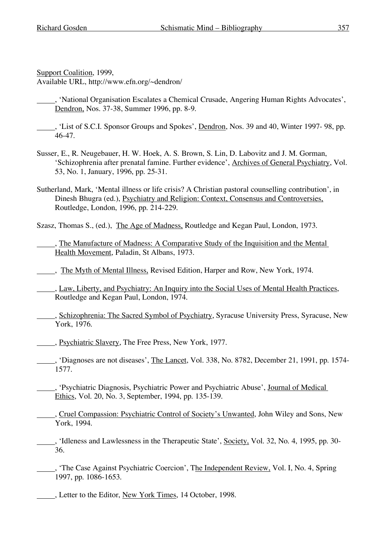Support Coalition, 1999,

Available URL, http://www.efn.org/~dendron/

, 'National Organisation Escalates a Chemical Crusade, Angering Human Rights Advocates', Dendron, Nos. 37-38, Summer 1996, pp. 8-9.

- , 'List of S.C.I. Sponsor Groups and Spokes', Dendron, Nos. 39 and 40, Winter 1997- 98, pp. 46-47.
- Susser, E., R. Neugebauer, H. W. Hoek, A. S. Brown, S. Lin, D. Labovitz and J. M. Gorman, 'Schizophrenia after prenatal famine. Further evidence', Archives of General Psychiatry, Vol. 53, No. 1, January, 1996, pp. 25-31.
- Sutherland, Mark, 'Mental illness or life crisis? A Christian pastoral counselling contribution', in Dinesh Bhugra (ed.), Psychiatry and Religion: Context, Consensus and Controversies, Routledge, London, 1996, pp. 214-229.

Szasz, Thomas S., (ed.), The Age of Madness, Routledge and Kegan Paul, London, 1973.

, The Manufacture of Madness: A Comparative Study of the Inquisition and the Mental Health Movement, Paladin, St Albans, 1973.

, The Myth of Mental Illness, Revised Edition, Harper and Row, New York, 1974.

, Law, Liberty, and Psychiatry: An Inquiry into the Social Uses of Mental Health Practices, Routledge and Kegan Paul, London, 1974.

- , Schizophrenia: The Sacred Symbol of Psychiatry, Syracuse University Press, Syracuse, New York, 1976.
- , Psychiatric Slavery, The Free Press, New York, 1977.
- , 'Diagnoses are not diseases', The Lancet, Vol. 338, No. 8782, December 21, 1991, pp. 1574- 1577.
- , 'Psychiatric Diagnosis, Psychiatric Power and Psychiatric Abuse', Journal of Medical Ethics, Vol. 20, No. 3, September, 1994, pp. 135-139.
- , Cruel Compassion: Psychiatric Control of Society's Unwanted, John Wiley and Sons, New York, 1994.
- . 'Idleness and Lawlessness in the Therapeutic State', Society, Vol. 32, No. 4, 1995, pp. 30-36.
- , 'The Case Against Psychiatric Coercion', The Independent Review, Vol. I, No. 4, Spring 1997, pp. 1086-1653.
- , Letter to the Editor, New York Times, 14 October, 1998.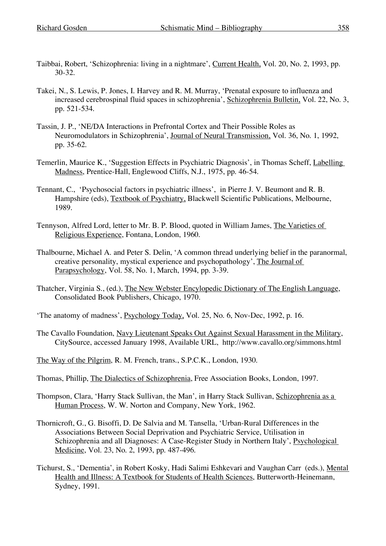- Taibbai, Robert, 'Schizophrenia: living in a nightmare', Current Health, Vol. 20, No. 2, 1993, pp. 30-32.
- Takei, N., S. Lewis, P. Jones, I. Harvey and R. M. Murray, 'Prenatal exposure to influenza and increased cerebrospinal fluid spaces in schizophrenia', Schizophrenia Bulletin, Vol. 22, No. 3, pp. 521-534.
- Tassin, J. P., 'NE/DA Interactions in Prefrontal Cortex and Their Possible Roles as Neuromodulators in Schizophrenia', Journal of Neural Transmission, Vol. 36, No. 1, 1992, pp. 35-62.
- Temerlin, Maurice K., 'Suggestion Effects in Psychiatric Diagnosis', in Thomas Scheff, Labelling Madness, Prentice-Hall, Englewood Cliffs, N.J., 1975, pp. 46-54.
- Tennant, C., 'Psychosocial factors in psychiatric illness', in Pierre J. V. Beumont and R. B. Hampshire (eds), Textbook of Psychiatry, Blackwell Scientific Publications, Melbourne, 1989.
- Tennyson, Alfred Lord, letter to Mr. B. P. Blood, quoted in William James, The Varieties of Religious Experience, Fontana, London, 1960.
- Thalbourne, Michael A. and Peter S. Delin, 'A common thread underlying belief in the paranormal, creative personality, mystical experience and psychopathology', The Journal of Parapsychology, Vol. 58, No. 1, March, 1994, pp. 3-39.
- Thatcher, Virginia S., (ed.), The New Webster Encylopedic Dictionary of The English Language, Consolidated Book Publishers, Chicago, 1970.
- 'The anatomy of madness', Psychology Today, Vol. 25, No. 6, Nov-Dec, 1992, p. 16.
- The Cavallo Foundation, Navy Lieutenant Speaks Out Against Sexual Harassment in the Military, CitySource, accessed January 1998, Available URL, http://www.cavallo.org/simmons.html
- The Way of the Pilgrim, R. M. French, trans., S.P.C.K., London, 1930.
- Thomas, Phillip, The Dialectics of Schizophrenia, Free Association Books, London, 1997.
- Thompson, Clara, 'Harry Stack Sullivan, the Man', in Harry Stack Sullivan, Schizophrenia as a Human Process, W. W. Norton and Company, New York, 1962.
- Thornicroft, G., G. Bisoffi, D. De Salvia and M. Tansella, 'Urban-Rural Differences in the Associations Between Social Deprivation and Psychiatric Service, Utilisation in Schizophrenia and all Diagnoses: A Case-Register Study in Northern Italy', Psychological Medicine, Vol. 23, No. 2, 1993, pp. 487-496.
- Tichurst, S., 'Dementia', in Robert Kosky, Hadi Salimi Eshkevari and Vaughan Carr (eds.), Mental Health and Illness: A Textbook for Students of Health Sciences, Butterworth-Heinemann, Sydney, 1991.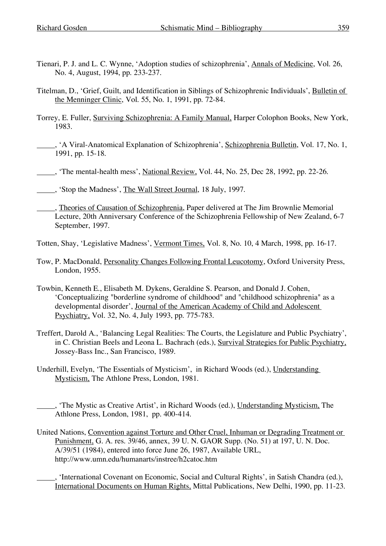- Tienari, P. J. and L. C. Wynne, 'Adoption studies of schizophrenia', Annals of Medicine, Vol. 26, No. 4, August, 1994, pp. 233-237.
- Titelman, D., 'Grief, Guilt, and Identification in Siblings of Schizophrenic Individuals', Bulletin of the Menninger Clinic, Vol. 55, No. 1, 1991, pp. 72-84.
- Torrey, E. Fuller, Surviving Schizophrenia: A Family Manual, Harper Colophon Books, New York, 1983.
- , 'A Viral-Anatomical Explanation of Schizophrenia', Schizophrenia Bulletin, Vol. 17, No. 1, 1991, pp. 15-18.
- , 'The mental-health mess', National Review, Vol. 44, No. 25, Dec 28, 1992, pp. 22-26.
- , 'Stop the Madness', The Wall Street Journal, 18 July, 1997.
- , Theories of Causation of Schizophrenia, Paper delivered at The Jim Brownlie Memorial Lecture, 20th Anniversary Conference of the Schizophrenia Fellowship of New Zealand, 6-7 September, 1997.
- Totten, Shay, 'Legislative Madness', Vermont Times, Vol. 8, No. 10, 4 March, 1998, pp. 16-17.
- Tow, P. MacDonald, Personality Changes Following Frontal Leucotomy, Oxford University Press, London, 1955.
- Towbin, Kenneth E., Elisabeth M. Dykens, Geraldine S. Pearson, and Donald J. Cohen, 'Conceptualizing "borderline syndrome of childhood" and "childhood schizophrenia" as a developmental disorder', Journal of the American Academy of Child and Adolescent Psychiatry, Vol. 32, No. 4, July 1993, pp. 775-783.
- Treffert, Darold A., 'Balancing Legal Realities: The Courts, the Legislature and Public Psychiatry', in C. Christian Beels and Leona L. Bachrach (eds.), Survival Strategies for Public Psychiatry, Jossey-Bass Inc., San Francisco, 1989.
- Underhill, Evelyn, 'The Essentials of Mysticism', in Richard Woods (ed.), Understanding Mysticism, The Athlone Press, London, 1981.
- , 'The Mystic as Creative Artist', in Richard Woods (ed.), Understanding Mysticism, The Athlone Press, London, 1981, pp. 400-414.
- United Nations, Convention against Torture and Other Cruel, Inhuman or Degrading Treatment or Punishment, G. A. res. 39/46, annex, 39 U. N. GAOR Supp. (No. 51) at 197, U. N. Doc. A/39/51 (1984), entered into force June 26, 1987, Available URL, http://www.umn.edu/humanarts/instree/h2catoc.htm
	- , 'International Covenant on Economic, Social and Cultural Rights', in Satish Chandra (ed.), International Documents on Human Rights, Mittal Publications, New Delhi, 1990, pp. 11-23.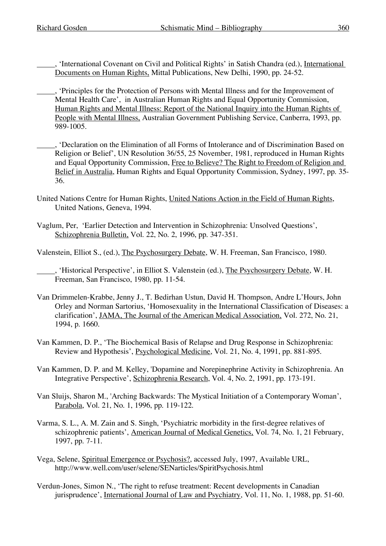- , 'International Covenant on Civil and Political Rights' in Satish Chandra (ed.), International Documents on Human Rights, Mittal Publications, New Delhi, 1990, pp. 24-52.
- , 'Principles for the Protection of Persons with Mental Illness and for the Improvement of Mental Health Care', in Australian Human Rights and Equal Opportunity Commission, Human Rights and Mental Illness: Report of the National Inquiry into the Human Rights of People with Mental Illness, Australian Government Publishing Service, Canberra, 1993, pp. 989-1005.
- , 'Declaration on the Elimination of all Forms of Intolerance and of Discrimination Based on Religion or Belief', UN Resolution 36/55, 25 November, 1981, reproduced in Human Rights and Equal Opportunity Commission, Free to Believe? The Right to Freedom of Religion and Belief in Australia, Human Rights and Equal Opportunity Commission, Sydney, 1997, pp. 35- 36.
- United Nations Centre for Human Rights, United Nations Action in the Field of Human Rights, United Nations, Geneva, 1994.
- Vaglum, Per, 'Earlier Detection and Intervention in Schizophrenia: Unsolved Questions', Schizophrenia Bulletin, Vol. 22, No. 2, 1996, pp. 347-351.
- Valenstein, Elliot S., (ed.), The Psychosurgery Debate, W. H. Freeman, San Francisco, 1980.
	- , 'Historical Perspective', in Elliot S. Valenstein (ed.), The Psychosurgery Debate, W. H. Freeman, San Francisco, 1980, pp. 11-54.
- Van Drimmelen-Krabbe, Jenny J., T. Bedirhan Ustun, David H. Thompson, Andre L'Hours, John Orley and Norman Sartorius, 'Homosexuality in the International Classification of Diseases: a clarification', JAMA, The Journal of the American Medical Association, Vol. 272, No. 21, 1994, p. 1660.
- Van Kammen, D. P., 'The Biochemical Basis of Relapse and Drug Response in Schizophrenia: Review and Hypothesis', Psychological Medicine, Vol. 21, No. 4, 1991, pp. 881-895.
- Van Kammen, D. P. and M. Kelley, 'Dopamine and Norepinephrine Activity in Schizophrenia. An Integrative Perspective', Schizophrenia Research, Vol. 4, No. 2, 1991, pp. 173-191.
- Van Sluijs, Sharon M., 'Arching Backwards: The Mystical Initiation of a Contemporary Woman', Parabola, Vol. 21, No. 1, 1996, pp. 119-122.
- Varma, S. L., A. M. Zain and S. Singh, 'Psychiatric morbidity in the first-degree relatives of schizophrenic patients', American Journal of Medical Genetics, Vol. 74, No. 1, 21 February, 1997, pp. 7-11.
- Vega, Selene, Spiritual Emergence or Psychosis?, accessed July, 1997, Available URL, http://www.well.com/user/selene/SENarticles/SpiritPsychosis.html
- Verdun-Jones, Simon N., 'The right to refuse treatment: Recent developments in Canadian jurisprudence', International Journal of Law and Psychiatry, Vol. 11, No. 1, 1988, pp. 51-60.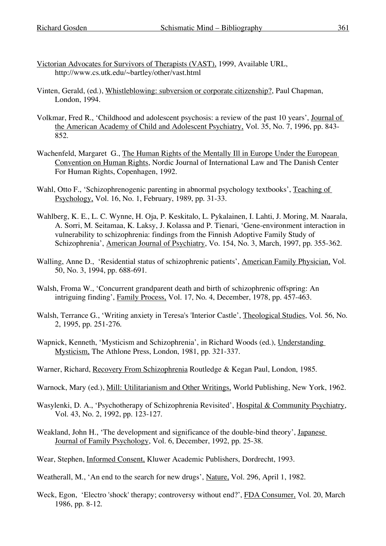- Victorian Advocates for Survivors of Therapists (VAST), 1999, Available URL, http://www.cs.utk.edu/~bartley/other/vast.html
- Vinten, Gerald, (ed.), Whistleblowing: subversion or corporate citizenship?, Paul Chapman, London, 1994.
- Volkmar, Fred R., 'Childhood and adolescent psychosis: a review of the past 10 years', Journal of the American Academy of Child and Adolescent Psychiatry, Vol. 35, No. 7, 1996, pp. 843- 852.
- Wachenfeld, Margaret G., The Human Rights of the Mentally Ill in Europe Under the European Convention on Human Rights, Nordic Journal of International Law and The Danish Center For Human Rights, Copenhagen, 1992.
- Wahl, Otto F., 'Schizophrenogenic parenting in abnormal psychology textbooks', Teaching of Psychology, Vol. 16, No. 1, February, 1989, pp. 31-33.
- Wahlberg, K. E., L. C. Wynne, H. Oja, P. Keskitalo, L. Pykalainen, I. Lahti, J. Moring, M. Naarala, A. Sorri, M. Seitamaa, K. Laksy, J. Kolassa and P. Tienari, 'Gene-environment interaction in vulnerability to schizophrenia: findings from the Finnish Adoptive Family Study of Schizophrenia', American Journal of Psychiatry, Vo. 154, No. 3, March, 1997, pp. 355-362.
- Walling, Anne D., 'Residential status of schizophrenic patients', American Family Physician, Vol. 50, No. 3, 1994, pp. 688-691.
- Walsh, Froma W., 'Concurrent grandparent death and birth of schizophrenic offspring: An intriguing finding', Family Process, Vol. 17, No. 4, December, 1978, pp. 457-463.
- Walsh, Terrance G., 'Writing anxiety in Teresa's 'Interior Castle', Theological Studies, Vol. 56, No. 2, 1995, pp. 251-276.
- Wapnick, Kenneth, 'Mysticism and Schizophrenia', in Richard Woods (ed.), Understanding Mysticism, The Athlone Press, London, 1981, pp. 321-337.
- Warner, Richard, Recovery From Schizophrenia Routledge & Kegan Paul, London, 1985.
- Warnock, Mary (ed.), Mill: Utilitarianism and Other Writings, World Publishing, New York, 1962.
- Wasylenki, D. A., 'Psychotherapy of Schizophrenia Revisited', Hospital & Community Psychiatry, Vol. 43, No. 2, 1992, pp. 123-127.
- Weakland, John H., 'The development and significance of the double-bind theory', Japanese Journal of Family Psychology, Vol. 6, December, 1992, pp. 25-38.
- Wear, Stephen, Informed Consent, Kluwer Academic Publishers, Dordrecht, 1993.
- Weatherall, M., 'An end to the search for new drugs', Nature, Vol. 296, April 1, 1982.
- Weck, Egon, 'Electro 'shock' therapy; controversy without end?', FDA Consumer, Vol. 20, March 1986, pp. 8-12.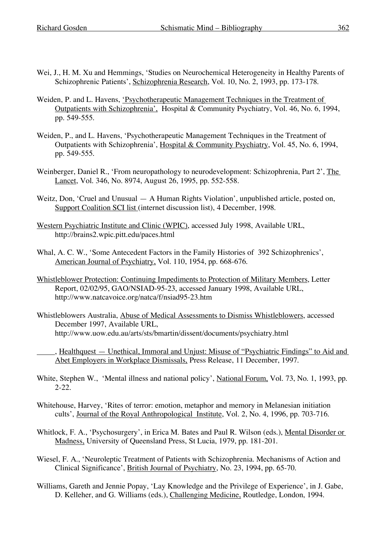- Wei, J., H. M. Xu and Hemmings, 'Studies on Neurochemical Heterogeneity in Healthy Parents of Schizophrenic Patients', Schizophrenia Research, Vol. 10, No. 2, 1993, pp. 173-178.
- Weiden, P. and L. Havens, 'Psychotherapeutic Management Techniques in the Treatment of Outpatients with Schizophrenia', Hospital & Community Psychiatry, Vol. 46, No. 6, 1994, pp. 549-555.
- Weiden, P., and L. Havens, 'Psychotherapeutic Management Techniques in the Treatment of Outpatients with Schizophrenia', Hospital & Community Psychiatry, Vol. 45, No. 6, 1994, pp. 549-555.
- Weinberger, Daniel R., 'From neuropathology to neurodevelopment: Schizophrenia, Part 2', The Lancet, Vol. 346, No. 8974, August 26, 1995, pp. 552-558.
- Weitz, Don, 'Cruel and Unusual A Human Rights Violation', unpublished article, posted on, Support Coalition SCI list (internet discussion list), 4 December, 1998.
- Western Psychiatric Institute and Clinic (WPIC), accessed July 1998, Available URL, http://brains2.wpic.pitt.edu/paces.html
- Whal, A. C. W., 'Some Antecedent Factors in the Family Histories of 392 Schizophrenics', American Journal of Psychiatry, Vol. 110, 1954, pp. 668-676.
- Whistleblower Protection: Continuing Impediments to Protection of Military Members, Letter Report, 02/02/95, GAO/NSIAD-95-23, accessed January 1998, Available URL, http://www.natcavoice.org/natca/f/nsiad95-23.htm
- Whistleblowers Australia, Abuse of Medical Assessments to Dismiss Whistleblowers, accessed December 1997, Available URL, http://www.uow.edu.au/arts/sts/bmartin/dissent/documents/psychiatry.html
	- , Healthquest Unethical, Immoral and Unjust: Misuse of "Psychiatric Findings" to Aid and Abet Employers in Workplace Dismissals, Press Release, 11 December, 1997.
- White, Stephen W., 'Mental illness and national policy', National Forum, Vol. 73, No. 1, 1993, pp. 2-22.
- Whitehouse, Harvey, 'Rites of terror: emotion, metaphor and memory in Melanesian initiation cults', Journal of the Royal Anthropological Institute, Vol. 2, No. 4, 1996, pp. 703-716.
- Whitlock, F. A., 'Psychosurgery', in Erica M. Bates and Paul R. Wilson (eds.), Mental Disorder or Madness, University of Queensland Press, St Lucia, 1979, pp. 181-201.
- Wiesel, F. A., 'Neuroleptic Treatment of Patients with Schizophrenia. Mechanisms of Action and Clinical Significance', British Journal of Psychiatry, No. 23, 1994, pp. 65-70.
- Williams, Gareth and Jennie Popay, 'Lay Knowledge and the Privilege of Experience', in J. Gabe, D. Kelleher, and G. Williams (eds.), Challenging Medicine, Routledge, London, 1994.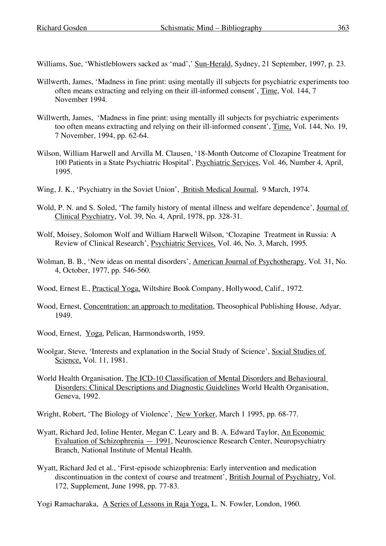Williams, Sue, 'Whistleblowers sacked as 'mad',' Sun-Herald, Sydney, 21 September, 1997, p. 23.

- Willwerth, James, 'Madness in fine print: using mentally ill subjects for psychiatric experiments too often means extracting and relying on their ill-informed consent', Time, Vol. 144, 7 November 1994.
- Willwerth, James, 'Madness in fine print: using mentally ill subjects for psychiatric experiments too often means extracting and relying on their ill-informed consent', Time, Vol. 144, No. 19, 7 November, 1994, pp. 62-64.
- Wilson, William Harwell and Arvilla M. Clausen, '18-Month Outcome of Clozapine Treatment for 100 Patients in a State Psychiatric Hospital', Psychiatric Services, Vol. 46, Number 4, April, 1995.
- Wing, J. K., 'Psychiatry in the Soviet Union', British Medical Journal, 9 March, 1974.
- Wold, P. N. and S. Soled, 'The family history of mental illness and welfare dependence', Journal of Clinical Psychiatry, Vol. 39, No. 4, April, 1978, pp. 328-31.
- Wolf, Moisey, Solomon Wolf and William Harwell Wilson, 'Clozapine Treatment in Russia: A Review of Clinical Research', Psychiatric Services, Vol. 46, No. 3, March, 1995.
- Wolman, B. B., 'New ideas on mental disorders', American Journal of Psychotherapy, Vol. 31, No. 4, October, 1977, pp. 546-560.
- Wood, Ernest E., Practical Yoga, Wiltshire Book Company, Hollywood, Calif., 1972.
- Wood, Ernest, Concentration: an approach to meditation, Theosophical Publishing House, Adyar, 1949.
- Wood, Ernest, Yoga, Pelican, Harmondsworth, 1959.
- Woolgar, Steve, 'Interests and explanation in the Social Study of Science', Social Studies of Science, Vol. 11, 1981.
- World Health Organisation, The ICD-10 Classification of Mental Disorders and Behavioural Disorders: Clinical Descriptions and Diagnostic Guidelines World Health Organisation, Geneva, 1992.
- Wright, Robert, 'The Biology of Violence', New Yorker, March 1 1995, pp. 68-77.
- Wyatt, Richard Jed, Ioline Henter, Megan C. Leary and B. A. Edward Taylor, An Economic Evaluation of Schizophrenia — 1991, Neuroscience Research Center, Neuropsychiatry Branch, National Institute of Mental Health.
- Wyatt, Richard Jed et al., 'First-episode schizophrenia: Early intervention and medication discontinuation in the context of course and treatment', British Journal of Psychiatry, Vol. 172, Supplement, June 1998, pp. 77-83.
- Yogi Ramacharaka, A Series of Lessons in Raja Yoga, L. N. Fowler, London, 1960.